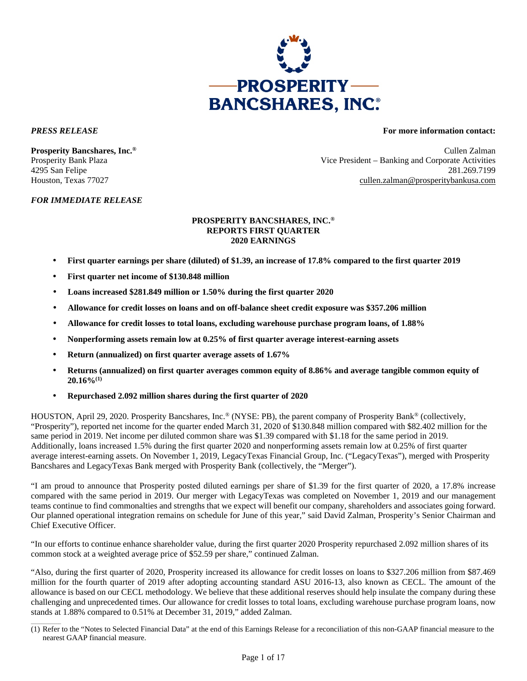

 $\mathcal{L}=\mathcal{L}$ 

### *FOR IMMEDIATE RELEASE*

# *PRESS RELEASE* **For more information contact:**

**Prosperity Bancshares, Inc.®** Cullen Zalman Prosperity Bank Plaza Vice President – Banking and Corporate Activities 4295 San Felipe 281.269.7199 Houston, Texas 77027 cullen.zalman@prosperitybankusa.com

### **PROSPERITY BANCSHARES, INC.® REPORTS FIRST QUARTER 2020 EARNINGS**

- **First quarter earnings per share (diluted) of \$1.39, an increase of 17.8% compared to the first quarter 2019**
- **First quarter net income of \$130.848 million**
- **Loans increased \$281.849 million or 1.50% during the first quarter 2020**
- **Allowance for credit losses on loans and on off-balance sheet credit exposure was \$357.206 million**
- **Allowance for credit losses to total loans, excluding warehouse purchase program loans, of 1.88%**
- **Nonperforming assets remain low at 0.25% of first quarter average interest-earning assets**
- **Return (annualized) on first quarter average assets of 1.67%**
- **Returns (annualized) on first quarter averages common equity of 8.86% and average tangible common equity of 20.16%(1)**
- **Repurchased 2.092 million shares during the first quarter of 2020**

HOUSTON, April 29, 2020. Prosperity Bancshares, Inc.® (NYSE: PB), the parent company of Prosperity Bank® (collectively, "Prosperity"), reported net income for the quarter ended March 31, 2020 of \$130.848 million compared with \$82.402 million for the same period in 2019. Net income per diluted common share was \$1.39 compared with \$1.18 for the same period in 2019. Additionally, loans increased 1.5% during the first quarter 2020 and nonperforming assets remain low at 0.25% of first quarter average interest-earning assets. On November 1, 2019, LegacyTexas Financial Group, Inc. ("LegacyTexas"), merged with Prosperity Bancshares and LegacyTexas Bank merged with Prosperity Bank (collectively, the "Merger").

"I am proud to announce that Prosperity posted diluted earnings per share of \$1.39 for the first quarter of 2020, a 17.8% increase compared with the same period in 2019. Our merger with LegacyTexas was completed on November 1, 2019 and our management teams continue to find commonalties and strengths that we expect will benefit our company, shareholders and associates going forward. Our planned operational integration remains on schedule for June of this year," said David Zalman, Prosperity's Senior Chairman and Chief Executive Officer.

"In our efforts to continue enhance shareholder value, during the first quarter 2020 Prosperity repurchased 2.092 million shares of its common stock at a weighted average price of \$52.59 per share," continued Zalman.

"Also, during the first quarter of 2020, Prosperity increased its allowance for credit losses on loans to \$327.206 million from \$87.469 million for the fourth quarter of 2019 after adopting accounting standard ASU 2016-13, also known as CECL. The amount of the allowance is based on our CECL methodology. We believe that these additional reserves should help insulate the company during these challenging and unprecedented times. Our allowance for credit losses to total loans, excluding warehouse purchase program loans, now stands at 1.88% compared to 0.51% at December 31, 2019," added Zalman.

<sup>(1)</sup> Refer to the "Notes to Selected Financial Data" at the end of this Earnings Release for a reconciliation of this non-GAAP financial measure to the nearest GAAP financial measure.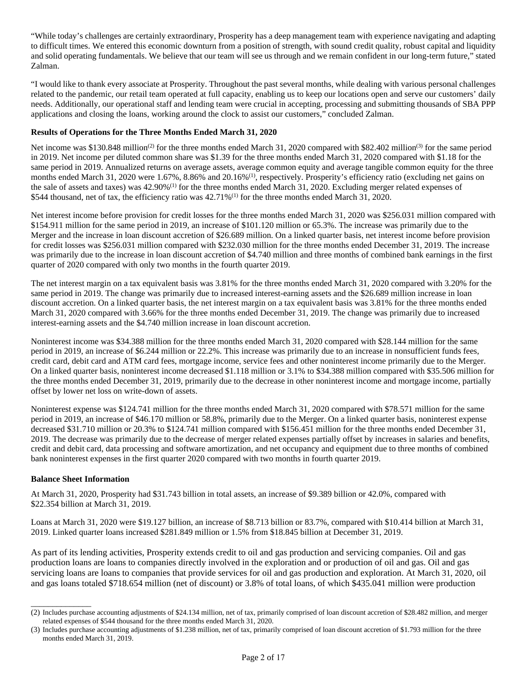"While today's challenges are certainly extraordinary, Prosperity has a deep management team with experience navigating and adapting to difficult times. We entered this economic downturn from a position of strength, with sound credit quality, robust capital and liquidity and solid operating fundamentals. We believe that our team will see us through and we remain confident in our long-term future," stated Zalman.

"I would like to thank every associate at Prosperity. Throughout the past several months, while dealing with various personal challenges related to the pandemic, our retail team operated at full capacity, enabling us to keep our locations open and serve our customers' daily needs. Additionally, our operational staff and lending team were crucial in accepting, processing and submitting thousands of SBA PPP applications and closing the loans, working around the clock to assist our customers," concluded Zalman.

# **Results of Operations for the Three Months Ended March 31, 2020**

Net income was \$130.848 million<sup>(2)</sup> for the three months ended March 31, 2020 compared with \$82.402 million<sup>(3)</sup> for the same period in 2019. Net income per diluted common share was \$1.39 for the three months ended March 31, 2020 compared with \$1.18 for the same period in 2019. Annualized returns on average assets, average common equity and average tangible common equity for the three months ended March 31, 2020 were 1.67%, 8.86% and 20.16%<sup>(1)</sup>, respectively. Prosperity's efficiency ratio (excluding net gains on the sale of assets and taxes) was 42.90%<sup>(1)</sup> for the three months ended March 31, 2020. Excluding merger related expenses of \$544 thousand, net of tax, the efficiency ratio was  $42.71\%$ <sup>(1)</sup> for the three months ended March 31, 2020.

Net interest income before provision for credit losses for the three months ended March 31, 2020 was \$256.031 million compared with \$154.911 million for the same period in 2019, an increase of \$101.120 million or 65.3%. The increase was primarily due to the Merger and the increase in loan discount accretion of \$26.689 million. On a linked quarter basis, net interest income before provision for credit losses was \$256.031 million compared with \$232.030 million for the three months ended December 31, 2019. The increase was primarily due to the increase in loan discount accretion of \$4.740 million and three months of combined bank earnings in the first quarter of 2020 compared with only two months in the fourth quarter 2019.

The net interest margin on a tax equivalent basis was 3.81% for the three months ended March 31, 2020 compared with 3.20% for the same period in 2019. The change was primarily due to increased interest-earning assets and the \$26.689 million increase in loan discount accretion. On a linked quarter basis, the net interest margin on a tax equivalent basis was 3.81% for the three months ended March 31, 2020 compared with 3.66% for the three months ended December 31, 2019. The change was primarily due to increased interest-earning assets and the \$4.740 million increase in loan discount accretion.

Noninterest income was \$34.388 million for the three months ended March 31, 2020 compared with \$28.144 million for the same period in 2019, an increase of \$6.244 million or 22.2%. This increase was primarily due to an increase in nonsufficient funds fees, credit card, debit card and ATM card fees, mortgage income, service fees and other noninterest income primarily due to the Merger. On a linked quarter basis, noninterest income decreased \$1.118 million or 3.1% to \$34.388 million compared with \$35.506 million for the three months ended December 31, 2019, primarily due to the decrease in other noninterest income and mortgage income, partially offset by lower net loss on write-down of assets.

Noninterest expense was \$124.741 million for the three months ended March 31, 2020 compared with \$78.571 million for the same period in 2019, an increase of \$46.170 million or 58.8%, primarily due to the Merger. On a linked quarter basis, noninterest expense decreased \$31.710 million or 20.3% to \$124.741 million compared with \$156.451 million for the three months ended December 31, 2019. The decrease was primarily due to the decrease of merger related expenses partially offset by increases in salaries and benefits, credit and debit card, data processing and software amortization, and net occupancy and equipment due to three months of combined bank noninterest expenses in the first quarter 2020 compared with two months in fourth quarter 2019.

## **Balance Sheet Information**

\_\_\_\_\_\_\_\_\_\_\_\_\_\_

At March 31, 2020, Prosperity had \$31.743 billion in total assets, an increase of \$9.389 billion or 42.0%, compared with \$22.354 billion at March 31, 2019.

Loans at March 31, 2020 were \$19.127 billion, an increase of \$8.713 billion or 83.7%, compared with \$10.414 billion at March 31, 2019. Linked quarter loans increased \$281.849 million or 1.5% from \$18.845 billion at December 31, 2019.

As part of its lending activities, Prosperity extends credit to oil and gas production and servicing companies. Oil and gas production loans are loans to companies directly involved in the exploration and or production of oil and gas. Oil and gas servicing loans are loans to companies that provide services for oil and gas production and exploration. At March 31, 2020, oil and gas loans totaled \$718.654 million (net of discount) or 3.8% of total loans, of which \$435.041 million were production

<sup>(2)</sup> Includes purchase accounting adjustments of \$24.134 million, net of tax, primarily comprised of loan discount accretion of \$28.482 million, and merger related expenses of \$544 thousand for the three months ended March 31, 2020.

<sup>(3)</sup> Includes purchase accounting adjustments of \$1.238 million, net of tax, primarily comprised of loan discount accretion of \$1.793 million for the three months ended March 31, 2019.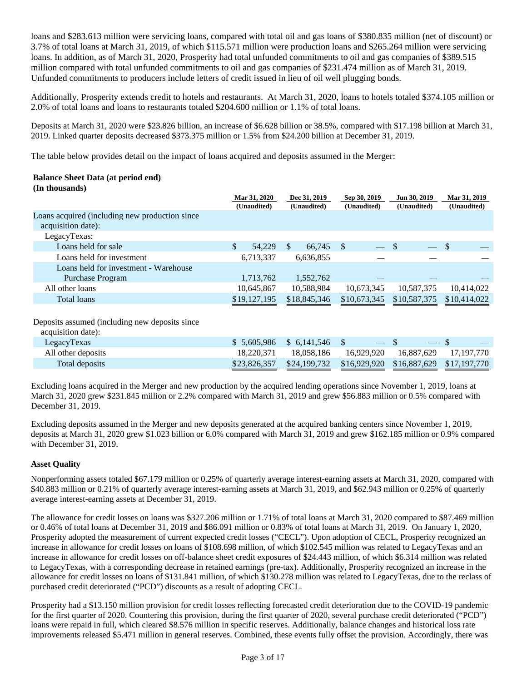loans and \$283.613 million were servicing loans, compared with total oil and gas loans of \$380.835 million (net of discount) or 3.7% of total loans at March 31, 2019, of which \$115.571 million were production loans and \$265.264 million were servicing loans. In addition, as of March 31, 2020, Prosperity had total unfunded commitments to oil and gas companies of \$389.515 million compared with total unfunded commitments to oil and gas companies of \$231.474 million as of March 31, 2019. Unfunded commitments to producers include letters of credit issued in lieu of oil well plugging bonds.

Additionally, Prosperity extends credit to hotels and restaurants. At March 31, 2020, loans to hotels totaled \$374.105 million or 2.0% of total loans and loans to restaurants totaled \$204.600 million or 1.1% of total loans.

Deposits at March 31, 2020 were \$23.826 billion, an increase of \$6.628 billion or 38.5%, compared with \$17.198 billion at March 31, 2019. Linked quarter deposits decreased \$373.375 million or 1.5% from \$24.200 billion at December 31, 2019.

The table below provides detail on the impact of loans acquired and deposits assumed in the Merger:

### **Balance Sheet Data (at period end) (In thousands)**

|                                                                       | Mar 31, 2020<br>(Unaudited) |        |     | Dec 31, 2019<br>(Unaudited) |    | Sep 30, 2019<br>(Unaudited) | Jun 30, 2019<br>(Unaudited) |                          | Mar 31, 2019<br>(Unaudited) |
|-----------------------------------------------------------------------|-----------------------------|--------|-----|-----------------------------|----|-----------------------------|-----------------------------|--------------------------|-----------------------------|
| Loans acquired (including new production since)<br>acquisition date): |                             |        |     |                             |    |                             |                             |                          |                             |
| LegacyTexas:                                                          |                             |        |     |                             |    |                             |                             |                          |                             |
| Loans held for sale                                                   | \$.                         | 54,229 | \$. | 66,745                      | -S |                             | - \$                        | $\overline{\phantom{0}}$ | -S                          |
| Loans held for investment                                             | 6,713,337                   |        |     | 6,636,855                   |    |                             |                             |                          |                             |
| Loans held for investment - Warehouse<br>Purchase Program             | 1,713,762                   |        |     | 1,552,762                   |    |                             |                             |                          |                             |
| All other loans                                                       | 10,645,867                  |        |     | 10,588,984                  |    | 10,673,345                  | 10,587,375                  |                          | 10,414,022                  |
| Total loans                                                           | \$19,127,195                |        |     | \$18,845,346                |    | \$10,673,345                | \$10,587,375                |                          | \$10,414,022                |
|                                                                       |                             |        |     |                             |    |                             |                             |                          |                             |

Deposits assumed (including new deposits since

| acquisition date): |  |
|--------------------|--|
|                    |  |

| $acquation$ $cace$ ). |              |                               |                                                     |                       |            |
|-----------------------|--------------|-------------------------------|-----------------------------------------------------|-----------------------|------------|
| LegacyTexas           |              | $$5,605,986$ $$6,141,546$ $$$ |                                                     |                       |            |
| All other deposits    | 18.220.371   | 18.058.186                    |                                                     | 16,929,920 16,887,629 | 17,197,770 |
| Total deposits        | \$23,826,357 |                               | \$24,199,732 \$16,929,920 \$16,887,629 \$17,197,770 |                       |            |
|                       |              |                               |                                                     |                       |            |

Excluding loans acquired in the Merger and new production by the acquired lending operations since November 1, 2019, loans at March 31, 2020 grew \$231.845 million or 2.2% compared with March 31, 2019 and grew \$56.883 million or 0.5% compared with December 31, 2019.

Excluding deposits assumed in the Merger and new deposits generated at the acquired banking centers since November 1, 2019, deposits at March 31, 2020 grew \$1.023 billion or 6.0% compared with March 31, 2019 and grew \$162.185 million or 0.9% compared with December 31, 2019.

## **Asset Quality**

Nonperforming assets totaled \$67.179 million or 0.25% of quarterly average interest-earning assets at March 31, 2020, compared with \$40.883 million or 0.21% of quarterly average interest-earning assets at March 31, 2019, and \$62.943 million or 0.25% of quarterly average interest-earning assets at December 31, 2019.

The allowance for credit losses on loans was \$327.206 million or 1.71% of total loans at March 31, 2020 compared to \$87.469 million or 0.46% of total loans at December 31, 2019 and \$86.091 million or 0.83% of total loans at March 31, 2019. On January 1, 2020, Prosperity adopted the measurement of current expected credit losses ("CECL"). Upon adoption of CECL, Prosperity recognized an increase in allowance for credit losses on loans of \$108.698 million, of which \$102.545 million was related to LegacyTexas and an increase in allowance for credit losses on off-balance sheet credit exposures of \$24.443 million, of which \$6.314 million was related to LegacyTexas, with a corresponding decrease in retained earnings (pre-tax). Additionally, Prosperity recognized an increase in the allowance for credit losses on loans of \$131.841 million, of which \$130.278 million was related to LegacyTexas, due to the reclass of purchased credit deteriorated ("PCD") discounts as a result of adopting CECL.

Prosperity had a \$13.150 million provision for credit losses reflecting forecasted credit deterioration due to the COVID-19 pandemic for the first quarter of 2020. Countering this provision, during the first quarter of 2020, several purchase credit deteriorated ("PCD") loans were repaid in full, which cleared \$8.576 million in specific reserves. Additionally, balance changes and historical loss rate improvements released \$5.471 million in general reserves. Combined, these events fully offset the provision. Accordingly, there was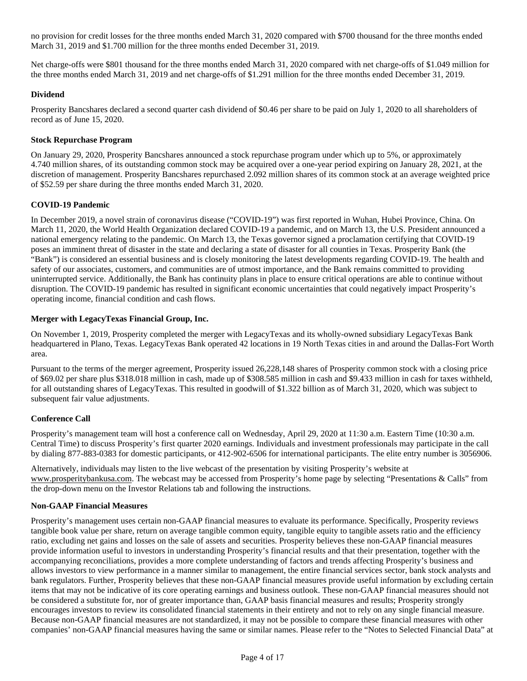no provision for credit losses for the three months ended March 31, 2020 compared with \$700 thousand for the three months ended March 31, 2019 and \$1.700 million for the three months ended December 31, 2019.

Net charge-offs were \$801 thousand for the three months ended March 31, 2020 compared with net charge-offs of \$1.049 million for the three months ended March 31, 2019 and net charge-offs of \$1.291 million for the three months ended December 31, 2019.

# **Dividend**

Prosperity Bancshares declared a second quarter cash dividend of \$0.46 per share to be paid on July 1, 2020 to all shareholders of record as of June 15, 2020.

# **Stock Repurchase Program**

On January 29, 2020, Prosperity Bancshares announced a stock repurchase program under which up to 5%, or approximately 4.740 million shares, of its outstanding common stock may be acquired over a one-year period expiring on January 28, 2021, at the discretion of management. Prosperity Bancshares repurchased 2.092 million shares of its common stock at an average weighted price of \$52.59 per share during the three months ended March 31, 2020.

## **COVID-19 Pandemic**

In December 2019, a novel strain of coronavirus disease ("COVID-19") was first reported in Wuhan, Hubei Province, China. On March 11, 2020, the World Health Organization declared COVID-19 a pandemic, and on March 13, the U.S. President announced a national emergency relating to the pandemic. On March 13, the Texas governor signed a proclamation certifying that COVID-19 poses an imminent threat of disaster in the state and declaring a state of disaster for all counties in Texas. Prosperity Bank (the "Bank") is considered an essential business and is closely monitoring the latest developments regarding COVID-19. The health and safety of our associates, customers, and communities are of utmost importance, and the Bank remains committed to providing uninterrupted service. Additionally, the Bank has continuity plans in place to ensure critical operations are able to continue without disruption. The COVID-19 pandemic has resulted in significant economic uncertainties that could negatively impact Prosperity's operating income, financial condition and cash flows.

## **Merger with LegacyTexas Financial Group, Inc.**

On November 1, 2019, Prosperity completed the merger with LegacyTexas and its wholly-owned subsidiary LegacyTexas Bank headquartered in Plano, Texas. LegacyTexas Bank operated 42 locations in 19 North Texas cities in and around the Dallas-Fort Worth area.

Pursuant to the terms of the merger agreement, Prosperity issued 26,228,148 shares of Prosperity common stock with a closing price of \$69.02 per share plus \$318.018 million in cash, made up of \$308.585 million in cash and \$9.433 million in cash for taxes withheld, for all outstanding shares of LegacyTexas. This resulted in goodwill of \$1.322 billion as of March 31, 2020, which was subject to subsequent fair value adjustments.

# **Conference Call**

Prosperity's management team will host a conference call on Wednesday, April 29, 2020 at 11:30 a.m. Eastern Time (10:30 a.m. Central Time) to discuss Prosperity's first quarter 2020 earnings. Individuals and investment professionals may participate in the call by dialing 877-883-0383 for domestic participants, or 412-902-6506 for international participants. The elite entry number is 3056906.

Alternatively, individuals may listen to the live webcast of the presentation by visiting Prosperity's website at www.prosperitybankusa.com. The webcast may be accessed from Prosperity's home page by selecting "Presentations & Calls" from the drop-down menu on the Investor Relations tab and following the instructions.

## **Non-GAAP Financial Measures**

Prosperity's management uses certain non-GAAP financial measures to evaluate its performance. Specifically, Prosperity reviews tangible book value per share, return on average tangible common equity, tangible equity to tangible assets ratio and the efficiency ratio, excluding net gains and losses on the sale of assets and securities. Prosperity believes these non-GAAP financial measures provide information useful to investors in understanding Prosperity's financial results and that their presentation, together with the accompanying reconciliations, provides a more complete understanding of factors and trends affecting Prosperity's business and allows investors to view performance in a manner similar to management, the entire financial services sector, bank stock analysts and bank regulators. Further, Prosperity believes that these non-GAAP financial measures provide useful information by excluding certain items that may not be indicative of its core operating earnings and business outlook. These non-GAAP financial measures should not be considered a substitute for, nor of greater importance than, GAAP basis financial measures and results; Prosperity strongly encourages investors to review its consolidated financial statements in their entirety and not to rely on any single financial measure. Because non-GAAP financial measures are not standardized, it may not be possible to compare these financial measures with other companies' non-GAAP financial measures having the same or similar names. Please refer to the "Notes to Selected Financial Data" at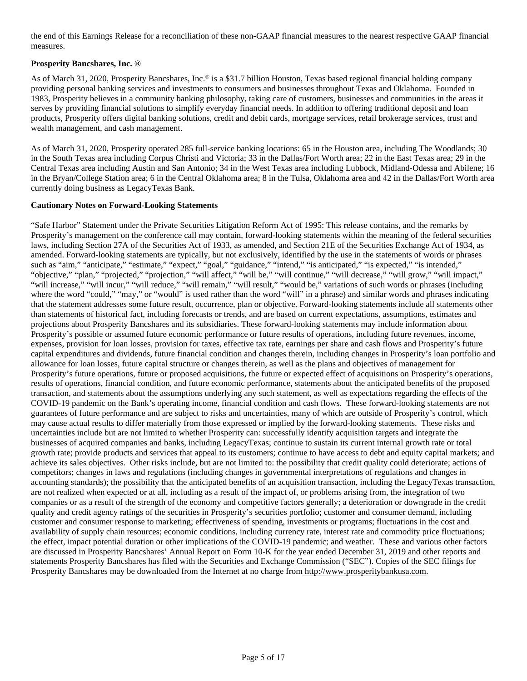the end of this Earnings Release for a reconciliation of these non-GAAP financial measures to the nearest respective GAAP financial measures.

# **Prosperity Bancshares, Inc. ®**

As of March 31, 2020, Prosperity Bancshares, Inc.<sup>®</sup> is a \$31.7 billion Houston, Texas based regional financial holding company providing personal banking services and investments to consumers and businesses throughout Texas and Oklahoma. Founded in 1983, Prosperity believes in a community banking philosophy, taking care of customers, businesses and communities in the areas it serves by providing financial solutions to simplify everyday financial needs. In addition to offering traditional deposit and loan products, Prosperity offers digital banking solutions, credit and debit cards, mortgage services, retail brokerage services, trust and wealth management, and cash management.

As of March 31, 2020, Prosperity operated 285 full-service banking locations: 65 in the Houston area, including The Woodlands; 30 in the South Texas area including Corpus Christi and Victoria; 33 in the Dallas/Fort Worth area; 22 in the East Texas area; 29 in the Central Texas area including Austin and San Antonio; 34 in the West Texas area including Lubbock, Midland-Odessa and Abilene; 16 in the Bryan/College Station area; 6 in the Central Oklahoma area; 8 in the Tulsa, Oklahoma area and 42 in the Dallas/Fort Worth area currently doing business as LegacyTexas Bank.

## **Cautionary Notes on Forward-Looking Statements**

"Safe Harbor" Statement under the Private Securities Litigation Reform Act of 1995: This release contains, and the remarks by Prosperity's management on the conference call may contain, forward-looking statements within the meaning of the federal securities laws, including Section 27A of the Securities Act of 1933, as amended, and Section 21E of the Securities Exchange Act of 1934, as amended. Forward-looking statements are typically, but not exclusively, identified by the use in the statements of words or phrases such as "aim," "anticipate," "estimate," "expect," "goal," "guidance," "intend," "is anticipated," "is expected," "is intended," "objective," "plan," "projected," "projection," "will affect," "will be," "will continue," "will decrease," "will grow," "will impact," "will increase," "will incur," "will reduce," "will remain," "will result," "would be," variations of such words or phrases (including where the word "could," "may," or "would" is used rather than the word "will" in a phrase) and similar words and phrases indicating that the statement addresses some future result, occurrence, plan or objective. Forward-looking statements include all statements other than statements of historical fact, including forecasts or trends, and are based on current expectations, assumptions, estimates and projections about Prosperity Bancshares and its subsidiaries. These forward-looking statements may include information about Prosperity's possible or assumed future economic performance or future results of operations, including future revenues, income, expenses, provision for loan losses, provision for taxes, effective tax rate, earnings per share and cash flows and Prosperity's future capital expenditures and dividends, future financial condition and changes therein, including changes in Prosperity's loan portfolio and allowance for loan losses, future capital structure or changes therein, as well as the plans and objectives of management for Prosperity's future operations, future or proposed acquisitions, the future or expected effect of acquisitions on Prosperity's operations, results of operations, financial condition, and future economic performance, statements about the anticipated benefits of the proposed transaction, and statements about the assumptions underlying any such statement, as well as expectations regarding the effects of the COVID-19 pandemic on the Bank's operating income, financial condition and cash flows. These forward-looking statements are not guarantees of future performance and are subject to risks and uncertainties, many of which are outside of Prosperity's control, which may cause actual results to differ materially from those expressed or implied by the forward-looking statements. These risks and uncertainties include but are not limited to whether Prosperity can: successfully identify acquisition targets and integrate the businesses of acquired companies and banks, including LegacyTexas; continue to sustain its current internal growth rate or total growth rate; provide products and services that appeal to its customers; continue to have access to debt and equity capital markets; and achieve its sales objectives. Other risks include, but are not limited to: the possibility that credit quality could deteriorate; actions of competitors; changes in laws and regulations (including changes in governmental interpretations of regulations and changes in accounting standards); the possibility that the anticipated benefits of an acquisition transaction, including the LegacyTexas transaction, are not realized when expected or at all, including as a result of the impact of, or problems arising from, the integration of two companies or as a result of the strength of the economy and competitive factors generally; a deterioration or downgrade in the credit quality and credit agency ratings of the securities in Prosperity's securities portfolio; customer and consumer demand, including customer and consumer response to marketing; effectiveness of spending, investments or programs; fluctuations in the cost and availability of supply chain resources; economic conditions, including currency rate, interest rate and commodity price fluctuations; the effect, impact potential duration or other implications of the COVID-19 pandemic; and weather. These and various other factors are discussed in Prosperity Bancshares' Annual Report on Form 10-K for the year ended December 31, 2019 and other reports and statements Prosperity Bancshares has filed with the Securities and Exchange Commission ("SEC"). Copies of the SEC filings for Prosperity Bancshares may be downloaded from the Internet at no charge from http://www.prosperitybankusa.com.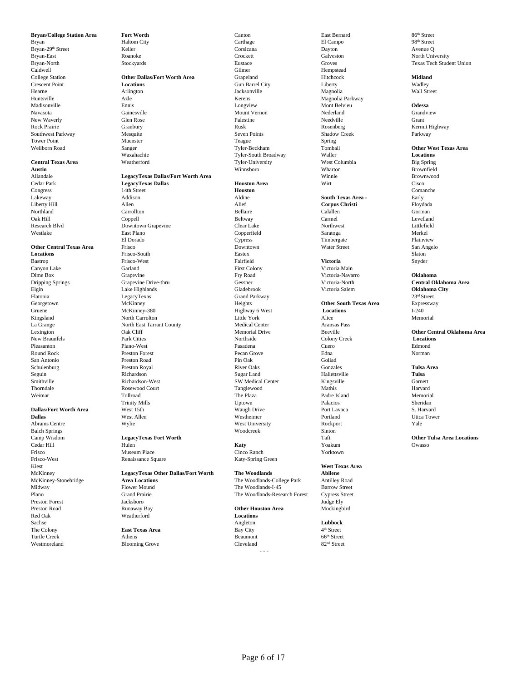**Bryan/College Station Area <b>Fort Worth** Canton Canton Canton Bast Bernard 86<sup>th</sup> Street Bryan Blues and Bast Bernard 86<sup>th</sup> Street Bryan Blues Blues and Blues Blues Blues and Street Blues Blues and Street Blues and Street

Frisco Museum Place Cinco Ranch Yorktown Frisco-West Renaissance Square Katy-Spring Green Kiest **West Texas Area** Preston Forest Sachse **Lubbock Lubbock Lubbock Angleton Lubbock Lubbock Lubbock Lubbock Lubbock Lubbock Lubbock** The Colony **East Texas Area East Texas Area** Bay City 4<sup>th</sup> Street 4<sup>th</sup> Street **Turtle Creek** Athens **Athens Beaumont** 66<sup>th</sup> Street Turtle Creek Athens Athens Athens **Beaumont** 66<sup>th</sup> Street Westmoreland Blooming Grove Cleveland 82<sup>nd</sup> Street

### Allandale **LegacyTexas Dallas/Fort Worth Area** Winnie Winnie Brownwood<br>Cedar Park **LegacyTexas Dallas Morth Area Houston Area** Wirt With Cisco Cisco Cedar Park **LegacyTexas Dallas Houston Area** Wirt Cisco Congress 14th Street **Houston** Comanche Lakeway Addison Aldine **South Texas Area -** Early Liberty Hill Allen Alief **Corpus Christi** Floydada Northland Carrollton Carrollton Carrollton Bellaire Calallen Calallen Corman

Oak Hill Coppell Beltway Carmel Levelland Research Blvd Downtown Grapevine Clear Lake Northwest Littlefield Westlake East Plano Copperfield Saratoga Merkel El Dorado Cypress Timbergate Plainview **Other Central Texas Area** Frisco **Frisco Downtown** Downtown Water Street San Angelo<br> **Cocations** San Angelo<br>
Slaton Basex **Locations** Frisco-South **Eastex** Eastex **Eastex** Eastex **Easter** Eastex Slaton Bastrop **Frisco-West** Frisco-West **Fairfield** Fairfield **Victoria** Snyder Canyon Lake Garland First Colony Victoria Main Dime Box Grapevine Fry Road Victoria-Navarro **Oklahoma** Dripping Springs **Grapevine Drive-thru** Gessner Grapevine Central Oklahoma Area<br>
Grapevine Drive-thru Gessner Gladebrook Victoria Salem **Oklahoma City**<br>
Cladebrook Victoria Salem **Oklahoma City** Elgin Lake Highlands Gladebrook Victoria Salem **Oklahoma City** Flatonia LegacyTexas Grand Parkway 23rd Street Georgetown McKinney McKinney Heights **Other South Texas Area** Expressway Gruene McKinney-380 Highway 6 West **Constant Constant Constant Constant Constant Constant Constant Constant Constant Constant Constant Constant Const** Gruene **McKinney-380** McKinney-380 Highway 6 West **Locations Legal Legal Contract Legal Contract Legal Contract Legal Contract Legal Contract Legal Contract Legal Contract Legal Contract Legal Contract Legal Contract Leg** Kingsland North Carrolton Little York Alice Memorial La Grange North East Tarrant County Medical Center Aransas Pass New Braunfels Park Cities Northside Colony Creek **Locations** Pleasanton Plano-West Pasadena Cuero Edmond Round Rock Preston Forest Pecan Grove Edna Norman San Antonio Preston Road Pin Oak Goliad Schulenburg **Preston Royal River Oaks** River Oaks Gonzales **Gonzales Tulsa Area** Seguin Richardson Sugar Land Hallettsville **Tulsa** Smithville Suchardson-West SW Medical Center Kingsville Garnett Garnett Garnett Garnett (Garnett Garnett Garnett Garnett Garnett Garnett Garnett Garnett Garnett Garnett Garnett Garnett Garnett Garnett Garnett Garnett Garne Thorndale a Rosewood Court and Tanglewood Court Tanglewood Mathis Rarvard Harvard Weimar **The Plaza** Padre Island Memorial Memorial The Plaza Padre Island Memorial Memorial Trinity Mills Uptown Palacios Sheridan **Dallas/Fort Worth Area** West 15th Waugh Drive Port Lavaca S. Harvard S. Harvard West Allen West Allen West Allen West Allen West Allen West Allen West Allen West Allen West Allen West Allen West Allen West Allen West Alle **Dallas West Allen** West Allen **West Allen** Westheimer **Portland** Portland Utica Tower Abrams Centre Wylie West University Rockport Yale Balch Springs Sinton Camp Wisdom Camp Wisdom Camp Wisdom Camp Wisdom Camp Wisdom Camp Wisdom Camp Chapter of Legacy Texas Fort Worth Camp Chapter of Taft Chapter of Taft Chapter of Legacy Texas Fort Worth Chapter of Chapte Cedar Hill **Hulen Maty Research Hulen** Owasso Number of the Maty Research Maty November Owasso Owasso

### McKinney-Stonebridge **Area Locations** The Woodlands-College Park Antilley Road Midway Flower Mound The Woodlands-I-45 Barrow Street<br>Plano Straet Grand Prairie The Woodlands-Research Forest Cypress Street  ${\bf Grad {\bf } False}$  The Woodlands-Research Forest Cypress Street Jacksboro<br>Judge Ely Preston Road Runaway Bay **Other Houston Area** Mockingbird **Reatherford Locations**

Bryan City Haltom City Carthage Carthage El Campo 98<sup>th</sup> Street Bryan-29th Street **Street** Keller Keller Corsicana Corsicana Dayton Bryan-29th Street Avenue Q Bryan-East North University Noanoke Crockett Galveston Galveston North University Bryan-North Stockyards Stockyards Eustace Groves Groves Texas Tech Student Union<br>Caldwell Gilmer Hempstead Hempstead Caldwell Gilmer Hempstead College Station **College Station Other Dallas/Fort Worth Area** Grapeland Grapeland Hitchcock **Midland**<br>
Crescent Point **Constant Constant Locations** Gun Barrel City **Constant Constant Constant Constant Constant Constant** Crescent Point **Locations Locations Locations Gun Barrel City Liberty Liberty Wadley** Hearne Arlington Jacksonville Magnolia Wall Street Huntsville Azle Azle Kerens Magnolia Parkway Madisonville Ennis Longview Mont Belvieu **Odessa** Navasota Gainesville Mount Vernon Nederland Grandview New Waverly **Solution Community Community Grant** Palestine Palestine Needville Needville Grant Rock Prairie Sammer Granbury (Granbury Rusk Rusk Rosenberg Rosenberg Kermit Highway Southwest Parkway Mesquite Muenster Seven Points Shadow Creek Parkway Parkway Mesquite Shadow Creek Parkway Next Parkway Seven Points Shadow Creek Parkway Next Parkway Next Parkway Seven Points Spring Shadow Creek Parkway Tower Point **Subset Constructed Construction** Muenster **Teague** Teague **Spring** Wellborn Road **Sanger** Sanger Sanger Tyler-Beckham Tomball The Texas Area<br> **Sanger** Watahachie Tyler-South Broadway Waller Waller **Locations** Waxahachie Tyler-South Broadway Waller **Locations Central Texas Area Weatherford** Weatherford Tyler-University West Columbia Big Spring **Austin** Winnsboro Wharton Brownfield

McKinney **LegacyTexas Other Dallas/Fort Worth The Woodlands Abilene**

- - -

4<sup>th</sup> Street

Lexington **Oak Cliff** Oak Cliff Memorial Drive Beeville **Color Creek Other Central Oklahoma Area**<br>
Northside Colony Creek **Locations Locations** 

Camp Wisdom **LegacyTexas Fort Worth Rational Computations Cedar Hill Cedar Hill Constant Computer Computer Cedar Hill Computer Computer Computer Cedar Hill Computer Computer Computer Computer Computer Computer Computer**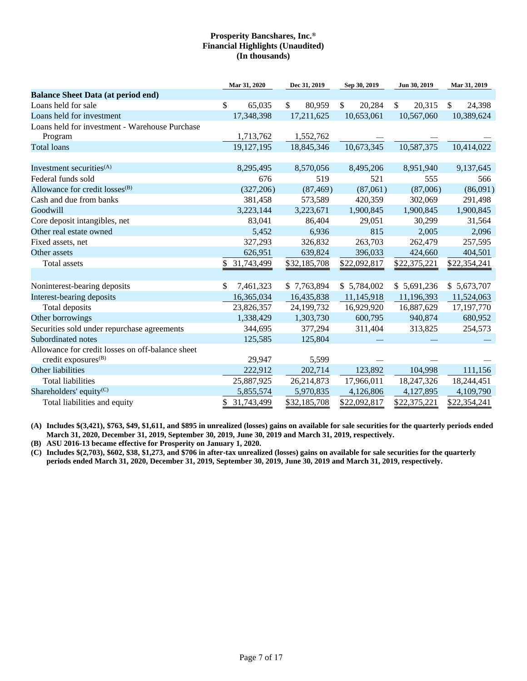|                                                  | Mar 31, 2020    | Dec 31, 2019 | Sep 30, 2019 | Jun 30, 2019           | Mar 31, 2019 |
|--------------------------------------------------|-----------------|--------------|--------------|------------------------|--------------|
| <b>Balance Sheet Data (at period end)</b>        |                 |              |              |                        |              |
| Loans held for sale                              | \$<br>65,035    | \$<br>80,959 | \$<br>20,284 | $\mathbb{S}$<br>20,315 | \$<br>24,398 |
| Loans held for investment                        | 17,348,398      | 17,211,625   | 10,653,061   | 10,567,060             | 10,389,624   |
| Loans held for investment - Warehouse Purchase   |                 |              |              |                        |              |
| Program                                          | 1,713,762       | 1,552,762    |              |                        |              |
| <b>Total loans</b>                               | 19, 127, 195    | 18,845,346   | 10,673,345   | 10,587,375             | 10,414,022   |
|                                                  |                 |              |              |                        |              |
| Investment securities <sup>(A)</sup>             | 8,295,495       | 8,570,056    | 8,495,206    | 8,951,940              | 9,137,645    |
| Federal funds sold                               | 676             | 519          | 521          | 555                    | 566          |
| Allowance for credit losses <sup>(B)</sup>       | (327, 206)      | (87, 469)    | (87,061)     | (87,006)               | (86,091)     |
| Cash and due from banks                          | 381,458         | 573,589      | 420,359      | 302,069                | 291,498      |
| Goodwill                                         | 3,223,144       | 3,223,671    | 1,900,845    | 1,900,845              | 1,900,845    |
| Core deposit intangibles, net                    | 83,041          | 86,404       | 29,051       | 30,299                 | 31,564       |
| Other real estate owned                          | 5,452           | 6,936        | 815          | 2,005                  | 2,096        |
| Fixed assets, net                                | 327,293         | 326,832      | 263,703      | 262,479                | 257,595      |
| Other assets                                     | 626,951         | 639,824      | 396,033      | 424,660                | 404,501      |
| Total assets                                     | 31,743,499      | \$32,185,708 | \$22,092,817 | \$22,375,221           | \$22,354,241 |
|                                                  |                 |              |              |                        |              |
| Noninterest-bearing deposits                     | \$<br>7,461,323 | \$7,763,894  | \$5,784,002  | \$5,691,236            | \$5,673,707  |
| Interest-bearing deposits                        | 16,365,034      | 16,435,838   | 11,145,918   | 11,196,393             | 11,524,063   |
| Total deposits                                   | 23,826,357      | 24,199,732   | 16,929,920   | 16,887,629             | 17,197,770   |
| Other borrowings                                 | 1,338,429       | 1,303,730    | 600,795      | 940,874                | 680,952      |
| Securities sold under repurchase agreements      | 344,695         | 377,294      | 311,404      | 313,825                | 254,573      |
| Subordinated notes                               | 125,585         | 125,804      |              |                        |              |
| Allowance for credit losses on off-balance sheet |                 |              |              |                        |              |
| credit exposures <sup>(B)</sup>                  | 29,947          | 5,599        |              |                        |              |
| Other liabilities                                | 222,912         | 202,714      | 123,892      | 104,998                | 111,156      |
| <b>Total liabilities</b>                         | 25,887,925      | 26,214,873   | 17,966,011   | 18,247,326             | 18,244,451   |
| Shareholders' equity $(C)$                       | 5,855,574       | 5,970,835    | 4,126,806    | 4,127,895              | 4,109,790    |
| Total liabilities and equity                     | 31,743,499      | \$32,185,708 | \$22,092,817 | \$22,375,221           | \$22,354,241 |

**(A) Includes \$(3,421), \$763, \$49, \$1,611, and \$895 in unrealized (losses) gains on available for sale securities for the quarterly periods ended March 31, 2020, December 31, 2019, September 30, 2019, June 30, 2019 and March 31, 2019, respectively.**

**(B) ASU 2016-13 became effective for Prosperity on January 1, 2020.**

**(C) Includes \$(2,703), \$602, \$38, \$1,273, and \$706 in after-tax unrealized (losses) gains on available for sale securities for the quarterly periods ended March 31, 2020, December 31, 2019, September 30, 2019, June 30, 2019 and March 31, 2019, respectively.**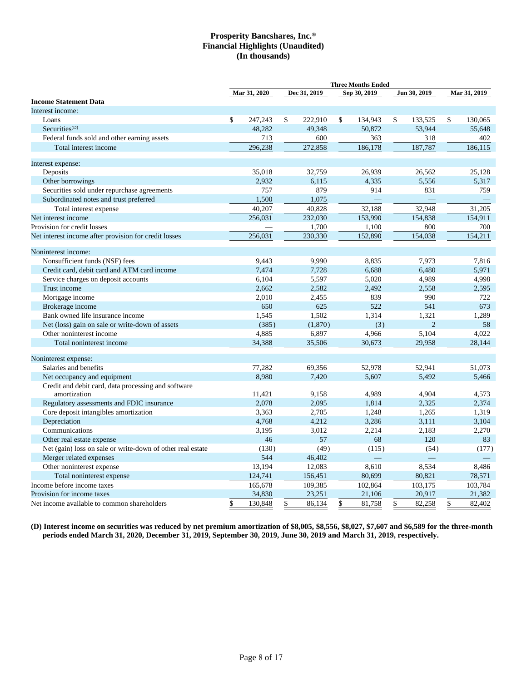|                                                                     |                 |                | <b>Three Months Ended</b> |                |    |                |
|---------------------------------------------------------------------|-----------------|----------------|---------------------------|----------------|----|----------------|
|                                                                     | Mar 31, 2020    | Dec 31, 2019   | Sep 30, 2019              | Jun 30, 2019   |    | Mar 31, 2019   |
| <b>Income Statement Data</b>                                        |                 |                |                           |                |    |                |
| Interest income:                                                    |                 |                |                           |                |    |                |
| Loans                                                               | \$<br>247,243   | \$<br>222,910  | \$<br>134,943             | \$<br>133,525  | \$ | 130,065        |
| $Securities^{(D)}$                                                  | 48,282          | 49.348         | 50,872                    | 53,944         |    | 55.648         |
| Federal funds sold and other earning assets                         | 713             | 600            | 363                       | 318            |    | 402            |
| Total interest income                                               | 296,238         | 272,858        | 186,178                   | 187,787        |    | 186,115        |
| Interest expense:                                                   |                 |                |                           |                |    |                |
| Deposits                                                            | 35,018          | 32,759         | 26,939                    | 26,562         |    | 25,128         |
| Other borrowings                                                    | 2,932           | 6,115          | 4,335                     | 5,556          |    | 5,317          |
| Securities sold under repurchase agreements                         | 757             | 879            | 914                       | 831            |    | 759            |
| Subordinated notes and trust preferred                              | 1,500           | 1,075          |                           |                |    |                |
| Total interest expense                                              | 40,207          | 40,828         | 32,188                    | 32,948         |    | 31,205         |
| Net interest income                                                 | 256,031         | 232,030        | 153,990                   | 154,838        |    | 154,911        |
| Provision for credit losses                                         |                 | 1,700          | 1,100                     | 800            |    | 700            |
| Net interest income after provision for credit losses               | 256,031         | 230,330        | 152,890                   | 154,038        |    | 154,211        |
| Noninterest income:                                                 |                 |                |                           |                |    |                |
| Nonsufficient funds (NSF) fees                                      | 9.443           | 9,990          | 8,835                     | 7.973          |    | 7.816          |
| Credit card, debit card and ATM card income                         | 7,474           | 7,728          | 6,688                     | 6,480          |    | 5,971          |
| Service charges on deposit accounts                                 | 6,104           | 5,597          | 5,020                     | 4,989          |    | 4,998          |
| Trust income                                                        | 2,662           | 2,582          | 2,492                     | 2,558          |    | 2,595          |
| Mortgage income                                                     | 2,010           | 2,455          | 839                       | 990            |    | 722            |
| Brokerage income                                                    | 650             | 625            | 522                       | 541            |    | 673            |
| Bank owned life insurance income                                    | 1,545           | 1,502          | 1,314                     | 1,321          |    | 1,289          |
| Net (loss) gain on sale or write-down of assets                     | (385)           | (1,870)        | (3)                       | $\overline{2}$ |    | 58             |
| Other noninterest income                                            | 4,885           | 6,897          | 4,966                     | 5,104          |    | 4,022          |
| Total noninterest income                                            | 34,388          | 35,506         | 30,673                    | 29,958         |    | 28,144         |
| Noninterest expense:                                                |                 |                |                           |                |    |                |
| Salaries and benefits                                               | 77,282          | 69,356         | 52,978                    | 52,941         |    | 51,073         |
| Net occupancy and equipment                                         | 8.980           | 7,420          | 5,607                     | 5,492          |    | 5,466          |
| Credit and debit card, data processing and software<br>amortization |                 |                |                           | 4,904          |    | 4,573          |
| Regulatory assessments and FDIC insurance                           | 11,421<br>2,078 | 9,158<br>2,095 | 4,989<br>1,814            | 2,325          |    | 2,374          |
|                                                                     |                 |                |                           |                |    |                |
| Core deposit intangibles amortization                               | 3,363<br>4,768  | 2,705<br>4,212 | 1,248<br>3,286            | 1,265<br>3,111 |    | 1,319<br>3,104 |
| Depreciation                                                        |                 |                |                           |                |    |                |
| Communications                                                      | 3,195<br>46     | 3,012<br>57    | 2,214<br>68               | 2,183<br>120   |    | 2,270<br>83    |
| Other real estate expense                                           |                 |                |                           |                |    |                |
| Net (gain) loss on sale or write-down of other real estate          | (130)<br>544    | (49)           | (115)                     | (54)           |    | (177)          |
| Merger related expenses                                             |                 | 46,402         |                           |                |    |                |
| Other noninterest expense                                           | 13,194          | 12,083         | 8,610<br>80,699           | 8,534          |    | 8,486          |
| Total noninterest expense                                           | 124,741         | 156,451        |                           | 80,821         |    | 78,571         |
| Income before income taxes                                          | 165,678         | 109,385        | 102,864                   | 103,175        |    | 103,784        |
| Provision for income taxes                                          | 34,830          | 23,251         | 21,106                    | 20,917         |    | 21,382         |
| Net income available to common shareholders                         | \$<br>130,848   | \$<br>86,134   | \$<br>81,758              | \$<br>82,258   | \$ | 82,402         |

**(D) Interest income on securities was reduced by net premium amortization of \$8,005, \$8,556, \$8,027, \$7,607 and \$6,589 for the three-month periods ended March 31, 2020, December 31, 2019, September 30, 2019, June 30, 2019 and March 31, 2019, respectively.**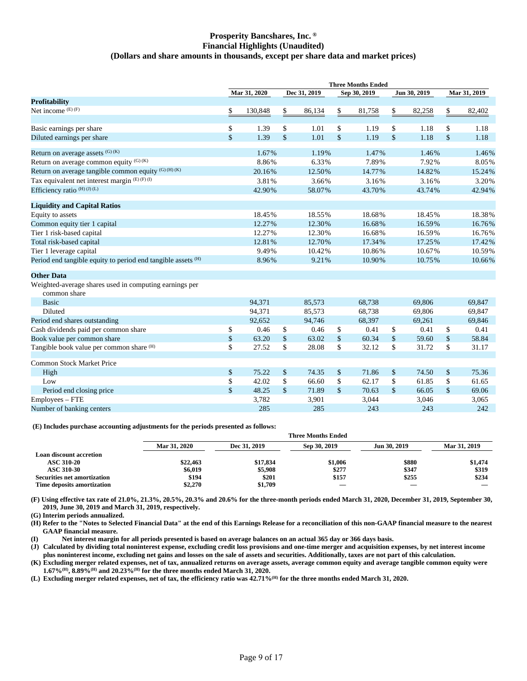## **Prosperity Bancshares, Inc. ® Financial Highlights (Unaudited) (Dollars and share amounts in thousands, except per share data and market prices)**

|                                                                         |      | Mar 31, 2020 |                    | Dec 31, 2019 |                    | Sep 30, 2019 |      | Jun 30, 2019 | Mar 31, 2019  |        |
|-------------------------------------------------------------------------|------|--------------|--------------------|--------------|--------------------|--------------|------|--------------|---------------|--------|
| <b>Profitability</b>                                                    |      |              |                    |              |                    |              |      |              |               |        |
| Net income $(E)$ $(F)$                                                  | \$   | 130,848      | \$                 | 86,134       | \$                 | 81,758       | \$   | 82,258       | \$            | 82,402 |
|                                                                         |      | 1.39         | \$                 | 1.01         | \$                 | 1.19         | \$   | 1.18         |               | 1.18   |
| Basic earnings per share                                                | \$   | 1.39         |                    |              |                    | 1.19         |      |              | \$            |        |
| Diluted earnings per share                                              | \$   |              | \$                 | 1.01         | \$                 |              | \$   | 1.18         | \$            | 1.18   |
| Return on average assets (G) (K)                                        |      | 1.67%        |                    | 1.19%        |                    | 1.47%        |      | 1.46%        |               | 1.46%  |
| Return on average common equity $(G)$ (K)                               |      | 8.86%        |                    | 6.33%        |                    | 7.89%        |      | 7.92%        |               | 8.05%  |
| Return on average tangible common equity (G) (H) (K)                    |      | 20.16%       |                    | 12.50%       |                    | 14.77%       |      | 14.82%       |               | 15.24% |
| Tax equivalent net interest margin (E)(F)(I)                            |      | 3.81%        |                    | 3.66%        |                    | 3.16%        |      | 3.16%        |               | 3.20%  |
| Efficiency ratio $(H)(J)(L)$                                            |      | 42.90%       |                    | 58.07%       |                    | 43.70%       |      | 43.74%       |               | 42.94% |
| <b>Liquidity and Capital Ratios</b>                                     |      |              |                    |              |                    |              |      |              |               |        |
| Equity to assets                                                        |      | 18.45%       |                    | 18.55%       |                    | 18.68%       |      | 18.45%       |               | 18.38% |
| Common equity tier 1 capital                                            |      | 12.27%       |                    | 12.30%       |                    | 16.68%       |      | 16.59%       |               | 16.76% |
| Tier 1 risk-based capital                                               |      | 12.27%       |                    | 12.30%       |                    | 16.68%       |      | 16.59%       |               | 16.76% |
| Total risk-based capital                                                |      | 12.81%       |                    | 12.70%       |                    | 17.34%       |      | 17.25%       |               | 17.42% |
| Tier 1 leverage capital                                                 |      | 9.49%        |                    | 10.42%       |                    | 10.86%       |      | 10.67%       |               | 10.59% |
| Period end tangible equity to period end tangible assets <sup>(H)</sup> |      | 8.96%        |                    | 9.21%        |                    | 10.90%       |      | 10.75%       |               | 10.66% |
| <b>Other Data</b>                                                       |      |              |                    |              |                    |              |      |              |               |        |
| Weighted-average shares used in computing earnings per<br>common share  |      |              |                    |              |                    |              |      |              |               |        |
| <b>Basic</b>                                                            |      | 94,371       |                    | 85,573       |                    | 68,738       |      | 69,806       |               | 69,847 |
| Diluted                                                                 |      | 94,371       |                    | 85,573       |                    | 68,738       |      | 69,806       |               | 69,847 |
| Period end shares outstanding                                           |      | 92,652       |                    | 94,746       |                    | 68,397       |      | 69,261       |               | 69,846 |
| Cash dividends paid per common share                                    | \$   | 0.46         | \$                 | 0.46         | \$                 | 0.41         | \$   | 0.41         | \$            | 0.41   |
| Book value per common share                                             | $\$$ | 63.20        | \$                 | 63.02        | $\mathsf{\$}$      | 60.34        | $\$$ | 59.60        | $\mathsf{\$}$ | 58.84  |
| Tangible book value per common share (H)                                | \$   | 27.52        | $\mathbf{\hat{S}}$ | 28.08        | $\mathbf S$        | 32.12        | \$   | 31.72        | \$            | 31.17  |
| Common Stock Market Price                                               |      |              |                    |              |                    |              |      |              |               |        |
| High                                                                    | \$   | 75.22        | \$                 | 74.35        | \$                 | 71.86        | \$   | 74.50        | \$            | 75.36  |
| Low                                                                     | \$   | 42.02        | \$                 | 66.60        | \$                 | 62.17        | \$   | 61.85        | \$            | 61.65  |
| Period end closing price                                                | \$   | 48.25        | $\mathbb{S}$       | 71.89        | $\mathbf{\hat{S}}$ | 70.63        | \$   | 66.05        | $\mathsf{\$}$ | 69.06  |
| Employees – FTE                                                         |      | 3,782        |                    | 3,901        |                    | 3,044        |      | 3,046        |               | 3,065  |
| Number of banking centers                                               |      | 285          |                    | 285          |                    | 243          |      | 243          |               | 242    |

**(E) Includes purchase accounting adjustments for the periods presented as follows:**

|                                    |              | <b>Three Months Ended</b> |              |              |              |  |  |  |  |  |  |
|------------------------------------|--------------|---------------------------|--------------|--------------|--------------|--|--|--|--|--|--|
|                                    | Mar 31, 2020 | Dec 31, 2019              | Sep 30, 2019 | Jun 30, 2019 | Mar 31, 2019 |  |  |  |  |  |  |
| Loan discount accretion            |              |                           |              |              |              |  |  |  |  |  |  |
| <b>ASC 310-20</b>                  | \$22,463     | \$17,834                  | \$1,006      | \$880        | \$1,474      |  |  |  |  |  |  |
| <b>ASC 310-30</b>                  | \$6,019      | \$5,908                   | \$277        | \$347        | \$319        |  |  |  |  |  |  |
| <b>Securities net amortization</b> | \$194        | \$201                     | \$157        | \$255        | \$234        |  |  |  |  |  |  |
| Time deposits amortization         | \$2,270      | \$1,709                   | __           |              |              |  |  |  |  |  |  |
|                                    |              |                           |              |              |              |  |  |  |  |  |  |

**(F) Using effective tax rate of 21.0%, 21.3%, 20.5%, 20.3% and 20.6% for the three-month periods ended March 31, 2020, December 31, 2019, September 30, 2019, June 30, 2019 and March 31, 2019, respectively.**

**(G) Interim periods annualized.**

**(H) Refer to the "Notes to Selected Financial Data" at the end of this Earnings Release for a reconciliation of this non-GAAP financial measure to the nearest GAAP financial measure.**

**(I) Net interest margin for all periods presented is based on average balances on an actual 365 day or 366 days basis.**

**(J) Calculated by dividing total noninterest expense, excluding credit loss provisions and one-time merger and acquisition expenses, by net interest income plus noninterest income, excluding net gains and losses on the sale of assets and securities. Additionally, taxes are not part of this calculation.**

**(K) Excluding merger related expenses, net of tax, annualized returns on average assets, average common equity and average tangible common equity were 1.67%(H), 8.89%(H) and 20.23%(H) for the three months ended March 31, 2020.**

**(L) Excluding merger related expenses, net of tax, the efficiency ratio was 42.71%(H) for the three months ended March 31, 2020.**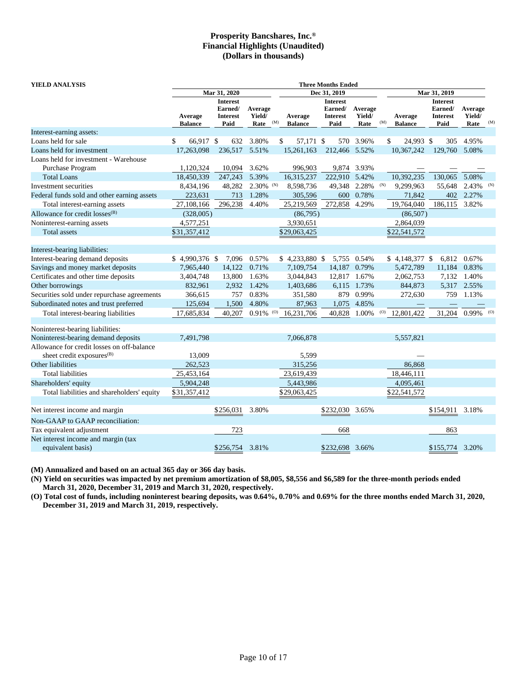| YIELD ANALYSIS                                                                      |                           |                                                       |                           |     |                           | <b>Three Months Ended</b>                             |                           |     |                           |                                                       |                           |     |
|-------------------------------------------------------------------------------------|---------------------------|-------------------------------------------------------|---------------------------|-----|---------------------------|-------------------------------------------------------|---------------------------|-----|---------------------------|-------------------------------------------------------|---------------------------|-----|
|                                                                                     |                           | Mar 31, 2020                                          |                           |     |                           | Dec 31, 2019                                          |                           |     | Mar 31, 2019              |                                                       |                           |     |
|                                                                                     | Average<br><b>Balance</b> | <b>Interest</b><br>Earned/<br><b>Interest</b><br>Paid | Average<br>Yield/<br>Rate | (M) | Average<br><b>Balance</b> | <b>Interest</b><br>Earned/<br><b>Interest</b><br>Paid | Average<br>Yield/<br>Rate | (M) | Average<br><b>Balance</b> | <b>Interest</b><br>Earned/<br><b>Interest</b><br>Paid | Average<br>Yield/<br>Rate | (M) |
| Interest-earning assets:                                                            |                           |                                                       |                           |     |                           |                                                       |                           |     |                           |                                                       |                           |     |
| Loans held for sale                                                                 | \$<br>66,917 \$           | 632                                                   | 3.80%                     |     | 57,171 \$<br>\$           |                                                       | 570 3.96%                 |     | \$<br>24,993 \$           | 305                                                   | 4.95%                     |     |
| Loans held for investment                                                           | 17,263,098                | 236,517                                               | 5.51%                     |     | 15,261,163                | 212,466 5.52%                                         |                           |     | 10,367,242                | 129,760 5.08%                                         |                           |     |
| Loans held for investment - Warehouse                                               |                           |                                                       |                           |     |                           |                                                       |                           |     |                           |                                                       |                           |     |
| Purchase Program                                                                    | 1,120,324                 | 10,094                                                | 3.62%                     |     | 996,903                   |                                                       | 9,874 3.93%               |     |                           |                                                       |                           |     |
| <b>Total Loans</b>                                                                  | 18,450,339                | 247,243                                               | 5.39%                     |     | 16,315,237                | 222,910 5.42%                                         |                           |     | 10,392,235                | 130,065                                               | 5.08%                     |     |
| Investment securities                                                               | 8,434,196                 | 48,282                                                | $2.30\%$ (N)              |     | 8,598,736                 |                                                       | 49,348 2.28%              | (N) | 9,299,963                 | 55,648                                                | 2.43%                     | (N) |
| Federal funds sold and other earning assets                                         | 223,631                   | 713                                                   | 1.28%                     |     | 305,596                   | 600                                                   | 0.78%                     |     | 71,842                    | 402                                                   | 2.27%                     |     |
| Total interest-earning assets                                                       | 27,108,166                | 296,238                                               | 4.40%                     |     | 25,219,569                | 272,858                                               | 4.29%                     |     | 19,764,040                | 186,115                                               | 3.82%                     |     |
| Allowance for credit losses <sup>(B)</sup>                                          | (328,005)                 |                                                       |                           |     | (86,795)                  |                                                       |                           |     | (86,507)                  |                                                       |                           |     |
| Noninterest-earning assets                                                          | 4,577,251                 |                                                       |                           |     | 3,930,651                 |                                                       |                           |     | 2,864,039                 |                                                       |                           |     |
| Total assets                                                                        | \$31,357,412              |                                                       |                           |     | \$29,063,425              |                                                       |                           |     | \$22,541,572              |                                                       |                           |     |
| Interest-bearing liabilities:                                                       |                           |                                                       |                           |     |                           |                                                       |                           |     |                           |                                                       |                           |     |
| Interest-bearing demand deposits                                                    | $$4,990,376$ \$           | 7,096                                                 | 0.57%                     |     | $$4,233,880$ \,           |                                                       | 5,755 0.54%               |     | $$4,148,377$ \;           |                                                       | 6,812 0.67%               |     |
| Savings and money market deposits                                                   | 7,965,440                 | 14,122                                                | 0.71%                     |     | 7,109,754                 | 14,187                                                | 0.79%                     |     | 5,472,789                 | 11,184                                                | 0.83%                     |     |
| Certificates and other time deposits                                                | 3,404,748                 | 13,800                                                | 1.63%                     |     | 3,044,843                 |                                                       | 12,817 1.67%              |     | 2,062,753                 | 7,132                                                 | 1.40%                     |     |
| Other borrowings                                                                    | 832,961                   | 2,932                                                 | 1.42%                     |     | 1,403,686                 |                                                       | 6,115 1.73%               |     | 844,873                   |                                                       | 5,317 2.55%               |     |
| Securities sold under repurchase agreements                                         | 366,615                   | 757                                                   | 0.83%                     |     | 351,580                   |                                                       | 879 0.99%                 |     | 272,630                   | 759                                                   | 1.13%                     |     |
| Subordinated notes and trust preferred                                              | 125,694                   | 1,500                                                 | 4.80%                     |     | 87,963                    | 1,075                                                 | 4.85%                     |     |                           |                                                       |                           |     |
| Total interest-bearing liabilities                                                  | 17,685,834                | 40,207                                                | 0.91%                     | (O) | 16,231,706                | 40,828                                                | 1.00%                     | (0) | 12,801,422                | 31,204                                                | $0.99\%$ (0)              |     |
| Noninterest-bearing liabilities:                                                    |                           |                                                       |                           |     |                           |                                                       |                           |     |                           |                                                       |                           |     |
| Noninterest-bearing demand deposits                                                 | 7,491,798                 |                                                       |                           |     | 7,066,878                 |                                                       |                           |     | 5,557,821                 |                                                       |                           |     |
| Allowance for credit losses on off-balance<br>sheet credit exposures <sup>(B)</sup> | 13,009                    |                                                       |                           |     | 5,599                     |                                                       |                           |     |                           |                                                       |                           |     |
| Other liabilities                                                                   | 262,523                   |                                                       |                           |     | 315,256                   |                                                       |                           |     | 86,868                    |                                                       |                           |     |
| <b>Total liabilities</b>                                                            | 25,453,164                |                                                       |                           |     | 23,619,439                |                                                       |                           |     | 18,446,111                |                                                       |                           |     |
| Shareholders' equity                                                                | 5,904,248                 |                                                       |                           |     | 5,443,986                 |                                                       |                           |     | 4,095,461                 |                                                       |                           |     |
| Total liabilities and shareholders' equity                                          | \$31,357,412              |                                                       |                           |     | \$29,063,425              |                                                       |                           |     | \$22,541,572              |                                                       |                           |     |
|                                                                                     |                           |                                                       |                           |     |                           |                                                       |                           |     |                           |                                                       |                           |     |
| Net interest income and margin                                                      |                           | \$256,031                                             | 3.80%                     |     |                           | \$232,030                                             | 3.65%                     |     |                           | \$154,911                                             | 3.18%                     |     |
| Non-GAAP to GAAP reconciliation:                                                    |                           |                                                       |                           |     |                           |                                                       |                           |     |                           |                                                       |                           |     |
| Tax equivalent adjustment                                                           |                           | 723                                                   |                           |     |                           | 668                                                   |                           |     |                           | 863                                                   |                           |     |
| Net interest income and margin (tax                                                 |                           |                                                       |                           |     |                           |                                                       |                           |     |                           |                                                       |                           |     |
| equivalent basis)                                                                   |                           | \$256,754                                             | 3.81%                     |     |                           | \$232,698 3.66%                                       |                           |     |                           | \$155,774 3.20%                                       |                           |     |

**(M) Annualized and based on an actual 365 day or 366 day basis.**

**(N) Yield on securities was impacted by net premium amortization of \$8,005, \$8,556 and \$6,589 for the three-month periods ended March 31, 2020, December 31, 2019 and March 31, 2020, respectively.**

**(O) Total cost of funds, including noninterest bearing deposits, was 0.64%, 0.70% and 0.69% for the three months ended March 31, 2020, December 31, 2019 and March 31, 2019, respectively.**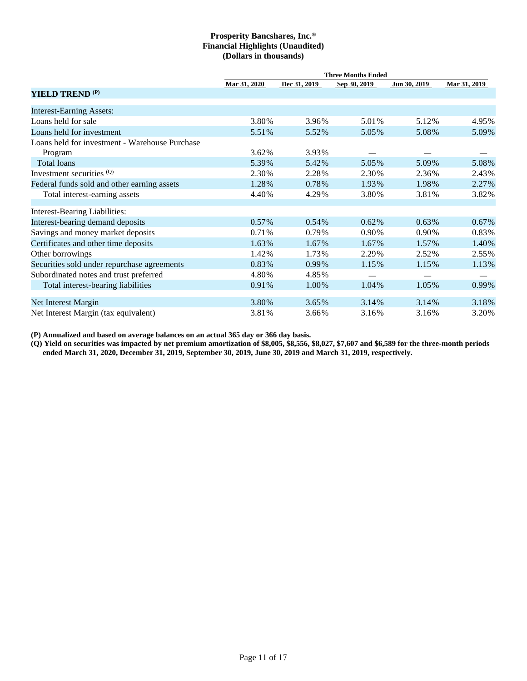|                                                |              |              | <b>Three Months Ended</b> |              |                          |
|------------------------------------------------|--------------|--------------|---------------------------|--------------|--------------------------|
|                                                | Mar 31, 2020 | Dec 31, 2019 | Sep 30, 2019              | Jun 30, 2019 | Mar 31, 2019             |
| <b>YIELD TREND (P)</b>                         |              |              |                           |              |                          |
| <b>Interest-Earning Assets:</b>                |              |              |                           |              |                          |
| Loans held for sale                            | 3.80%        | 3.96%        | 5.01%                     | 5.12%        | 4.95%                    |
| Loans held for investment                      | 5.51%        | 5.52%        | 5.05%                     | 5.08%        | 5.09%                    |
| Loans held for investment - Warehouse Purchase |              |              |                           |              |                          |
| Program                                        | 3.62%        | 3.93%        |                           |              |                          |
| Total loans                                    | 5.39%        | 5.42%        | 5.05%                     | 5.09%        | 5.08%                    |
| Investment securities (Q)                      | 2.30%        | 2.28%        | 2.30%                     | 2.36%        | 2.43%                    |
| Federal funds sold and other earning assets    | 1.28%        | 0.78%        | 1.93%                     | 1.98%        | 2.27%                    |
| Total interest-earning assets                  | 4.40%        | 4.29%        | 3.80%                     | 3.81%        | 3.82%                    |
| <b>Interest-Bearing Liabilities:</b>           |              |              |                           |              |                          |
| Interest-bearing demand deposits               | 0.57%        | 0.54%        | 0.62%                     | $0.63\%$     | 0.67%                    |
| Savings and money market deposits              | 0.71%        | 0.79%        | 0.90%                     | 0.90%        | 0.83%                    |
| Certificates and other time deposits           | 1.63%        | 1.67%        | 1.67%                     | 1.57%        | 1.40%                    |
| Other borrowings                               | 1.42%        | 1.73%        | 2.29%                     | 2.52%        | 2.55%                    |
| Securities sold under repurchase agreements    | 0.83%        | 0.99%        | 1.15%                     | 1.15%        | 1.13%                    |
| Subordinated notes and trust preferred         | 4.80%        | 4.85%        |                           |              | $\overline{\phantom{0}}$ |
| Total interest-bearing liabilities             | 0.91%        | 1.00%        | 1.04%                     | 1.05%        | 0.99%                    |
| Net Interest Margin                            | 3.80%        | 3.65%        | 3.14%                     | 3.14%        | 3.18%                    |
| Net Interest Margin (tax equivalent)           | 3.81%        | 3.66%        | 3.16%                     | 3.16%        | 3.20%                    |

**(P) Annualized and based on average balances on an actual 365 day or 366 day basis.**

**(Q) Yield on securities was impacted by net premium amortization of \$8,005, \$8,556, \$8,027, \$7,607 and \$6,589 for the three-month periods ended March 31, 2020, December 31, 2019, September 30, 2019, June 30, 2019 and March 31, 2019, respectively.**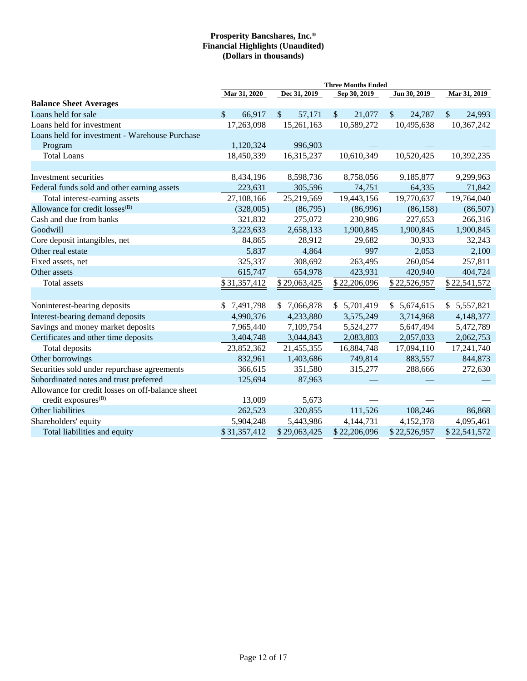|                                                                                     |                         |                       | <b>Three Months Ended</b> |              |                        |
|-------------------------------------------------------------------------------------|-------------------------|-----------------------|---------------------------|--------------|------------------------|
|                                                                                     | Mar 31, 2020            | Dec 31, 2019          | Sep 30, 2019              | Jun 30, 2019 | Mar 31, 2019           |
| <b>Balance Sheet Averages</b>                                                       |                         |                       |                           |              |                        |
| Loans held for sale                                                                 | $\mathcal{S}$<br>66,917 | $\sqrt{\ }$<br>57,171 | $\mathcal{S}$<br>21,077   | \$<br>24,787 | $\mathbb{S}$<br>24,993 |
| Loans held for investment                                                           | 17,263,098              | 15,261,163            | 10,589,272                | 10,495,638   | 10,367,242             |
| Loans held for investment - Warehouse Purchase                                      |                         |                       |                           |              |                        |
| Program                                                                             | 1,120,324               | 996,903               |                           |              |                        |
| <b>Total Loans</b>                                                                  | 18,450,339              | 16,315,237            | 10,610,349                | 10,520,425   | 10,392,235             |
| Investment securities                                                               | 8,434,196               | 8,598,736             | 8,758,056                 | 9,185,877    | 9,299,963              |
| Federal funds sold and other earning assets                                         | 223,631                 | 305,596               | 74,751                    | 64,335       | 71,842                 |
| Total interest-earning assets                                                       | 27,108,166              | 25,219,569            | 19,443,156                | 19,770,637   | 19,764,040             |
| Allowance for credit losses <sup>(B)</sup>                                          | (328,005)               | (86,795)              | (86,996)                  | (86, 158)    | (86,507)               |
| Cash and due from banks                                                             | 321,832                 | 275,072               | 230,986                   | 227,653      | 266,316                |
| Goodwill                                                                            | 3,223,633               | 2,658,133             | 1,900,845                 | 1,900,845    | 1,900,845              |
| Core deposit intangibles, net                                                       | 84,865                  | 28,912                | 29,682                    | 30,933       | 32,243                 |
| Other real estate                                                                   | 5,837                   | 4,864                 | 997                       | 2,053        | 2,100                  |
| Fixed assets, net                                                                   | 325,337                 | 308,692               | 263,495                   | 260,054      | 257,811                |
| Other assets                                                                        | 615,747                 | 654,978               | 423,931                   | 420,940      | 404,724                |
| <b>Total assets</b>                                                                 | \$31,357,412            | \$29,063,425          | \$22,206,096              | \$22,526,957 | \$22,541,572           |
|                                                                                     |                         |                       |                           |              |                        |
| Noninterest-bearing deposits                                                        | \$7,491,798             | \$7,066,878           | \$5,701,419               | \$5,674,615  | 5,557,821<br>\$.       |
| Interest-bearing demand deposits                                                    | 4,990,376               | 4,233,880             | 3,575,249                 | 3,714,968    | 4,148,377              |
| Savings and money market deposits                                                   | 7,965,440               | 7,109,754             | 5,524,277                 | 5,647,494    | 5,472,789              |
| Certificates and other time deposits                                                | 3,404,748               | 3,044,843             | 2,083,803                 | 2,057,033    | 2,062,753              |
| Total deposits                                                                      | 23,852,362              | 21,455,355            | 16,884,748                | 17,094,110   | 17,241,740             |
| Other borrowings                                                                    | 832,961                 | 1,403,686             | 749,814                   | 883,557      | 844,873                |
| Securities sold under repurchase agreements                                         | 366,615                 | 351,580               | 315,277                   | 288,666      | 272,630                |
| Subordinated notes and trust preferred                                              | 125,694                 | 87,963                |                           |              |                        |
| Allowance for credit losses on off-balance sheet<br>credit exposures <sup>(B)</sup> | 13,009                  | 5,673                 |                           |              |                        |
| Other liabilities                                                                   | 262,523                 | 320,855               | 111,526                   | 108,246      | 86,868                 |
| Shareholders' equity                                                                | 5,904,248               | 5,443,986             | 4,144,731                 | 4,152,378    | 4,095,461              |
| Total liabilities and equity                                                        | \$31,357,412            | \$29,063,425          | \$22,206,096              | \$22,526,957 | \$22,541,572           |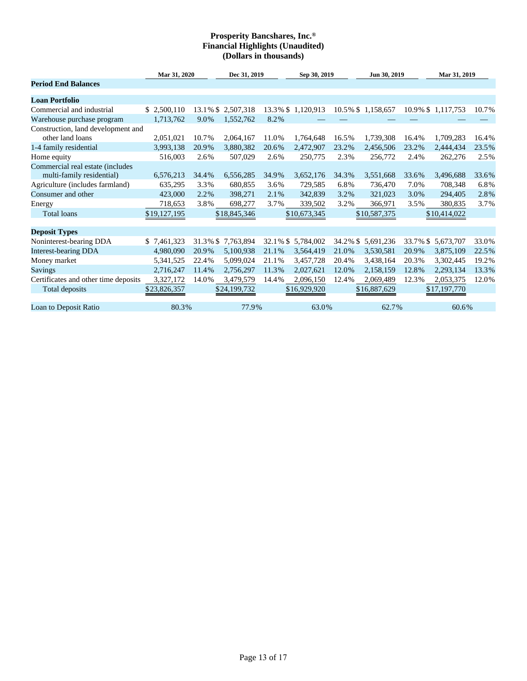|                                      | Mar 31, 2020 |             | Dec 31, 2019       |             | Sep 30, 2019       |             | Jun 30, 2019      | Mar 31, 2019 |                   |       |
|--------------------------------------|--------------|-------------|--------------------|-------------|--------------------|-------------|-------------------|--------------|-------------------|-------|
| <b>Period End Balances</b>           |              |             |                    |             |                    |             |                   |              |                   |       |
| <b>Loan Portfolio</b>                |              |             |                    |             |                    |             |                   |              |                   |       |
| Commercial and industrial            | \$ 2,500,110 |             | 13.1% \$ 2,507,318 |             | 13.3% \$ 1,120,913 |             | 10.5% \$1,158,657 |              | 10.9% \$1,117,753 | 10.7% |
| Warehouse purchase program           | 1,713,762    | 9.0%        | 1,552,762          | 8.2%        |                    |             |                   |              |                   |       |
| Construction, land development and   |              |             |                    |             |                    |             |                   |              |                   |       |
| other land loans                     | 2,051,021    | 10.7%       | 2,064,167          | 11.0%       | 1,764,648          | 16.5%       | 1,739,308         | 16.4%        | 1,709,283         | 16.4% |
| 1-4 family residential               | 3,993,138    | 20.9%       | 3,880,382          | 20.6%       | 2,472,907          | 23.2%       | 2,456,506         | 23.2%        | 2,444,434         | 23.5% |
| Home equity                          | 516,003      | 2.6%        | 507,029            | 2.6%        | 250,775            | 2.3%        | 256,772           | 2.4%         | 262,276           | 2.5%  |
| Commercial real estate (includes     |              |             |                    |             |                    |             |                   |              |                   |       |
| multi-family residential)            | 6,576,213    | 34.4%       | 6,556,285          | 34.9%       | 3,652,176          | 34.3%       | 3,551,668         | 33.6%        | 3,496,688         | 33.6% |
| Agriculture (includes farmland)      | 635,295      | 3.3%        | 680,855            | 3.6%        | 729,585            | 6.8%        | 736,470           | 7.0%         | 708,348           | 6.8%  |
| Consumer and other                   | 423,000      | 2.2%        | 398,271            | 2.1%        | 342,839            | 3.2%        | 321,023           | 3.0%         | 294,405           | 2.8%  |
| Energy                               | 718,653      | 3.8%        | 698,277            | 3.7%        | 339,502            | 3.2%        | 366,971           | 3.5%         | 380,835           | 3.7%  |
| <b>Total loans</b>                   | \$19,127,195 |             | \$18,845,346       |             | \$10,673,345       |             | \$10,587,375      |              | \$10,414,022      |       |
| <b>Deposit Types</b>                 |              |             |                    |             |                    |             |                   |              |                   |       |
| Noninterest-bearing DDA              | \$7,461,323  | $31.3\%$ \$ | 7,763,894          | $32.1\%$ \$ | 5,784,002          | $34.2\%$ \$ | 5,691,236         | 33.7% \$     | 5,673,707         | 33.0% |
| <b>Interest-bearing DDA</b>          | 4,980,090    | 20.9%       | 5,100,938          | 21.1%       | 3,564,419          | 21.0%       | 3,530,581         | 20.9%        | 3,875,109         | 22.5% |
| Money market                         | 5,341,525    | 22.4%       | 5,099,024          | 21.1%       | 3,457,728          | 20.4%       | 3,438,164         | 20.3%        | 3,302,445         | 19.2% |
| <b>Savings</b>                       | 2,716,247    | 11.4%       | 2,756,297          | 11.3%       | 2,027,621          | 12.0%       | 2,158,159         | 12.8%        | 2,293,134         | 13.3% |
| Certificates and other time deposits | 3,327,172    | 14.0%       | 3,479,579          | 14.4%       | 2,096,150          | 12.4%       | 2,069,489         | 12.3%        | 2,053,375         | 12.0% |
| Total deposits                       | \$23,826,357 |             | \$24,199,732       |             | \$16,929,920       |             | \$16,887,629      |              | \$17,197,770      |       |
| Loan to Deposit Ratio                | 80.3%        |             | 77.9%              |             | 63.0%              |             | 62.7%             |              | 60.6%             |       |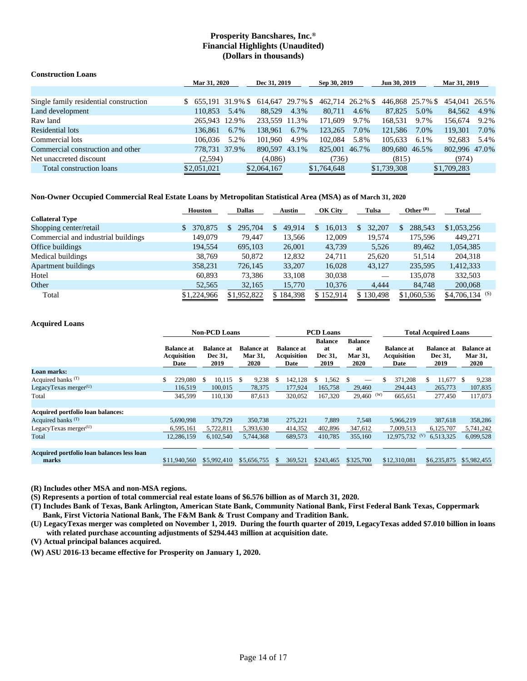| <b>Construction Loans</b>              |                  |              |                  |              |                  |              |                  |      |               |      |
|----------------------------------------|------------------|--------------|------------------|--------------|------------------|--------------|------------------|------|---------------|------|
|                                        |                  | Mar 31, 2020 |                  | Dec 31, 2019 |                  | Sep 30, 2019 | Jun 30, 2019     |      | Mar 31, 2019  |      |
|                                        |                  |              |                  |              |                  |              |                  |      |               |      |
| Single family residential construction | $$655.19131.9\%$ |              | 614,647 29.7% \$ |              | 462,714 26.2% \$ |              | 446.868 25.7% \$ |      | 454,041 26.5% |      |
| Land development                       | 110.853          | 5.4%         | 88.529           | 4.3%         | 80.711           | 4.6%         | 87.825           | 5.0% | 84.562        | 4.9% |
| Raw land                               | 265.943 12.9%    |              | 233.559 11.3%    |              | 171.609          | 9.7%         | 168.531          | 9.7% | 156,674       | 9.2% |
| Residential lots                       | 136.861          | 6.7%         | 138.961          | 6.7%         | 123,265          | 7.0%         | 121.586          | 7.0% | 119.301       | 7.0% |
| Commercial lots                        | 106.036          | 5.2%         | 101.960          | 4.9%         | 102.084          | 5.8%         | 105.633          | 6.1% | 92,683        | 5.4% |
| Commercial construction and other      | 778,731 37.9%    |              | 890.597 43.1%    |              | 825,001 46.7%    |              | 809.680 46.5%    |      | 802.996 47.0% |      |
| Net unaccreted discount                | (2,594)          |              | (4,086)          |              | (736)            |              | (815)            |      | (974)         |      |
| Total construction loans               | \$2,051,021      |              | \$2,064,167      |              | \$1,764,648      |              | \$1,739,308      |      | \$1,709,283   |      |

### **Non-Owner Occupied Commercial Real Estate Loans by Metropolitan Statistical Area (MSA) as of March 31, 2020**

|                                     | <b>Houston</b> | <b>Dallas</b> | Austin       | <b>OK City</b> | Tulsa     | Other $(R)$ | Total            |
|-------------------------------------|----------------|---------------|--------------|----------------|-----------|-------------|------------------|
| <b>Collateral Type</b>              |                |               |              |                |           |             |                  |
| Shopping center/retail              | 370,875        | 295,704<br>S. | 49.914<br>S. | 16,013         | 32,207    | 288,543     | \$1,053,256      |
| Commercial and industrial buildings | 149,079        | 79.447        | 13,566       | 12,009         | 19,574    | 175,596     | 449.271          |
| Office buildings                    | 194,554        | 695,103       | 26,001       | 43,739         | 5,526     | 89,462      | 1,054,385        |
| Medical buildings                   | 38.769         | 50,872        | 12,832       | 24.711         | 25,620    | 51.514      | 204,318          |
| <b>Apartment buildings</b>          | 358,231        | 726,145       | 33,207       | 16,028         | 43,127    | 235,595     | 1,412,333        |
| Hotel                               | 60.893         | 73,386        | 33,108       | 30,038         |           | 135,078     | 332,503          |
| Other                               | 52,565         | 32,165        | 15,770       | 10,376         | 4.444     | 84,748      | 200,068          |
| Total                               | \$1,224,966    | \$1,952,822   | \$184,398    | \$152,914      | \$130,498 | \$1,060,536 | $$4,706,134$ (S) |

### **Acquired Loans**

|                                                     |                                                 | <b>Non-PCD Loans</b>                                                         |             |                                                 | <b>PCD</b> Loans                        |                                         |                                                 | <b>Total Acquired Loans</b>          |                                                    |  |  |  |
|-----------------------------------------------------|-------------------------------------------------|------------------------------------------------------------------------------|-------------|-------------------------------------------------|-----------------------------------------|-----------------------------------------|-------------------------------------------------|--------------------------------------|----------------------------------------------------|--|--|--|
|                                                     | <b>Balance at</b><br><b>Acquisition</b><br>Date | <b>Balance at</b><br><b>Balance at</b><br>Dec 31,<br>Mar 31,<br>2019<br>2020 |             | <b>Balance at</b><br><b>Acquisition</b><br>Date | <b>Balance</b><br>at<br>Dec 31,<br>2019 | <b>Balance</b><br>at<br>Mar 31,<br>2020 | <b>Balance at</b><br><b>Acquisition</b><br>Date | <b>Balance at</b><br>Dec 31,<br>2019 | <b>Balance at</b><br><b>Mar 31,</b><br><b>2020</b> |  |  |  |
| Loan marks:                                         |                                                 |                                                                              |             |                                                 |                                         |                                         |                                                 |                                      |                                                    |  |  |  |
| Acquired banks <sup>(T)</sup>                       | \$<br>229,080                                   | $10,115$ \$<br>-S                                                            | 9,238       | 142,128<br>- \$                                 | 1,562<br>\$                             | <sup>\$</sup>                           | 371,208<br>S                                    | 11,677 \$<br>S.                      | 9,238                                              |  |  |  |
| LegacyTexas merger $(U)$                            | 116,519                                         | 100,015                                                                      | 78,375      | 177,924                                         | 165,758                                 | 29,460                                  | 294,443                                         | 265,773                              | 107,835                                            |  |  |  |
| Total                                               | 345,599                                         | 110,130                                                                      | 87,613      | 320,052                                         | 167,320                                 | $29,460$ (W)                            | 665,651                                         | 277,450                              | 117,073                                            |  |  |  |
|                                                     |                                                 |                                                                              |             |                                                 |                                         |                                         |                                                 |                                      |                                                    |  |  |  |
| Acquired portfolio loan balances:                   |                                                 |                                                                              |             |                                                 |                                         |                                         |                                                 |                                      |                                                    |  |  |  |
| Acquired banks $(T)$                                | 5,690,998                                       | 379,729                                                                      | 350,738     | 275,221                                         | 7,889                                   | 7.548                                   | 5,966,219                                       | 387,618                              | 358,286                                            |  |  |  |
| LegacyTexas merger $(U)$                            | 6,595,161                                       | 5,722,811                                                                    | 5,393,630   | 414,352                                         | 402,896                                 | 347,612                                 | 7,009,513                                       | 6,125,707                            | 5,741,242                                          |  |  |  |
| Total                                               | 12,286,159                                      | 6,102,540                                                                    | 5,744,368   | 689,573                                         | 410,785                                 | 355,160                                 | 12,975,732                                      | (V)<br>6,513,325                     | 6,099,528                                          |  |  |  |
|                                                     |                                                 |                                                                              |             |                                                 |                                         |                                         |                                                 |                                      |                                                    |  |  |  |
| Acquired portfolio loan balances less loan<br>marks | \$11,940,560                                    | \$5,992,410                                                                  | \$5,656,755 | 369,521<br><b>S</b>                             | \$243,465                               | \$325,700                               | \$12,310,081                                    | \$6,235,875                          | \$5,982,455                                        |  |  |  |

**(R) Includes other MSA and non-MSA regions.**

**(S) Represents a portion of total commercial real estate loans of \$6.576 billion as of March 31, 2020.**

**(T) Includes Bank of Texas, Bank Arlington, American State Bank, Community National Bank, First Federal Bank Texas, Coppermark Bank, First Victoria National Bank, The F&M Bank & Trust Company and Tradition Bank.**

**(U) LegacyTexas merger was completed on November 1, 2019. During the fourth quarter of 2019, LegacyTexas added \$7.010 billion in loans with related purchase accounting adjustments of \$294.443 million at acquisition date.**

**(V) Actual principal balances acquired.**

**(W) ASU 2016-13 became effective for Prosperity on January 1, 2020.**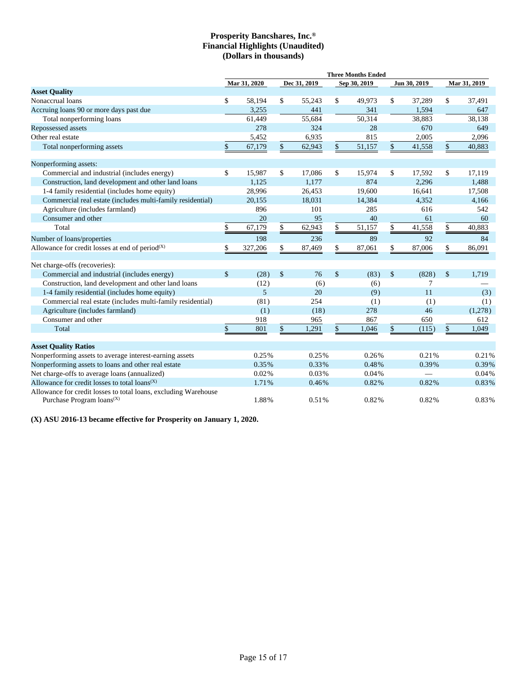|                                                                                                | <b>Three Months Ended</b> |                |                           |              |                    |              |    |              |               |              |
|------------------------------------------------------------------------------------------------|---------------------------|----------------|---------------------------|--------------|--------------------|--------------|----|--------------|---------------|--------------|
|                                                                                                |                           | Mar 31, 2020   |                           | Dec 31, 2019 |                    | Sep 30, 2019 |    | Jun 30, 2019 |               | Mar 31, 2019 |
| <b>Asset Quality</b>                                                                           |                           |                |                           |              |                    |              |    |              |               |              |
| Nonaccrual loans                                                                               | \$                        | 58,194         | \$                        | 55,243       | \$                 | 49,973       | \$ | 37,289       | \$            | 37,491       |
| Accruing loans 90 or more days past due                                                        |                           | 3,255          |                           | 441          |                    | 341          |    | 1,594        |               | 647          |
| Total nonperforming loans                                                                      |                           | 61,449         |                           | 55,684       |                    | 50,314       |    | 38,883       |               | 38,138       |
| Repossessed assets                                                                             |                           | 278            |                           | 324          |                    | 28           |    | 670          |               | 649          |
| Other real estate                                                                              |                           | 5,452          |                           | 6,935        |                    | 815          |    | 2,005        |               | 2,096        |
| Total nonperforming assets                                                                     | \$                        | 67,179         | $\$$                      | 62,943       | $\mathsf{\$}$      | 51,157       | \$ | 41,558       | $\mathsf{\$}$ | 40,883       |
| Nonperforming assets:                                                                          |                           |                |                           |              |                    |              |    |              |               |              |
| Commercial and industrial (includes energy)                                                    | \$                        | 15,987         | \$                        | 17,086       | \$                 | 15,974       | \$ | 17,592       | \$            | 17,119       |
| Construction, land development and other land loans                                            |                           | 1.125          |                           | 1.177        |                    | 874          |    | 2,296        |               | 1,488        |
| 1-4 family residential (includes home equity)                                                  |                           | 28,996         |                           | 26,453       |                    | 19.600       |    | 16,641       |               | 17,508       |
| Commercial real estate (includes multi-family residential)                                     |                           | 20,155         |                           | 18,031       |                    | 14,384       |    | 4,352        |               | 4,166        |
| Agriculture (includes farmland)                                                                |                           | 896            |                           | 101          |                    | 285          |    | 616          |               | 542          |
| Consumer and other                                                                             |                           | 20             |                           | 95           |                    | 40           |    | 61           |               | 60           |
| Total                                                                                          | \$                        | 67,179         | \$                        | 62,943       | \$                 | 51,157       | \$ | 41,558       | \$            | 40,883       |
| Number of loans/properties                                                                     |                           | 198            |                           | 236          |                    | 89           |    | 92           |               | 84           |
| Allowance for credit losses at end of period <sup>(X)</sup>                                    | \$                        | 327,206        | \$                        | 87,469       | \$                 | 87,061       | \$ | 87,006       | \$            | 86,091       |
| Net charge-offs (recoveries):                                                                  |                           |                |                           |              |                    |              |    |              |               |              |
| Commercial and industrial (includes energy)                                                    | $\mathbf{\hat{S}}$        | (28)           | $\boldsymbol{\mathsf{S}}$ | 76           | $\mathbf{\hat{S}}$ | (83)         | \$ | (828)        | \$            | 1,719        |
| Construction, land development and other land loans                                            |                           | (12)           |                           | (6)          |                    | (6)          |    | 7            |               |              |
| 1-4 family residential (includes home equity)                                                  |                           | $\overline{5}$ |                           | 20           |                    | (9)          |    | 11           |               | (3)          |
| Commercial real estate (includes multi-family residential)                                     |                           | (81)           |                           | 254          |                    | (1)          |    | (1)          |               | (1)          |
| Agriculture (includes farmland)                                                                |                           | (1)            |                           | (18)         |                    | 278          |    | 46           |               | (1,278)      |
| Consumer and other                                                                             |                           | 918            |                           | 965          |                    | 867          |    | 650          |               | 612          |
| Total                                                                                          | \$                        | 801            | $\boldsymbol{\mathsf{S}}$ | 1,291        | \$                 | 1,046        | \$ | (115)        | \$            | 1,049        |
| <b>Asset Quality Ratios</b>                                                                    |                           |                |                           |              |                    |              |    |              |               |              |
| Nonperforming assets to average interest-earning assets                                        |                           | 0.25%          |                           | 0.25%        |                    | 0.26%        |    | 0.21%        |               | 0.21%        |
| Nonperforming assets to loans and other real estate                                            |                           | 0.35%          |                           | 0.33%        |                    | 0.48%        |    | 0.39%        |               | 0.39%        |
| Net charge-offs to average loans (annualized)                                                  |                           | 0.02%          |                           | 0.03%        |                    | 0.04%        |    | -            |               | 0.04%        |
| Allowance for credit losses to total $loans^{(X)}$                                             |                           | 1.71%          |                           | 0.46%        |                    | 0.82%        |    | 0.82%        |               | 0.83%        |
| Allowance for credit losses to total loans, excluding Warehouse<br>Purchase Program $loans(X)$ |                           | 1.88%          |                           | 0.51%        |                    | 0.82%        |    | 0.82%        |               | 0.83%        |

**(X) ASU 2016-13 became effective for Prosperity on January 1, 2020.**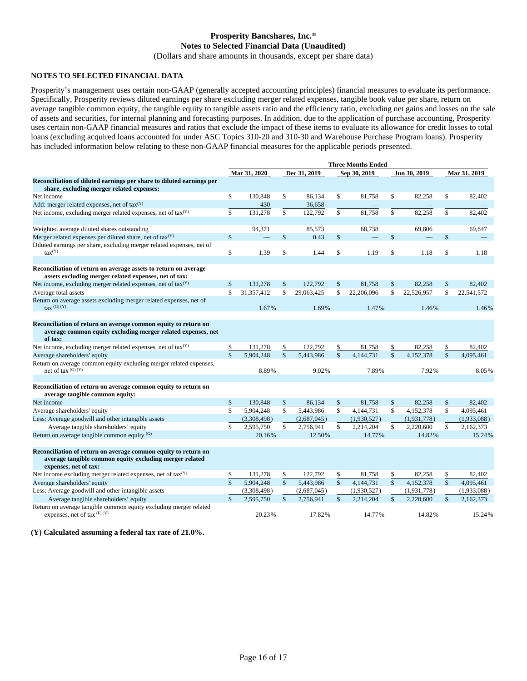# **Prosperity Bancshares, Inc.® Notes to Selected Financial Data (Unaudited)**

(Dollars and share amounts in thousands, except per share data)

### **NOTES TO SELECTED FINANCIAL DATA**

Prosperity's management uses certain non-GAAP (generally accepted accounting principles) financial measures to evaluate its performance. Specifically, Prosperity reviews diluted earnings per share excluding merger related expenses, tangible book value per share, return on average tangible common equity, the tangible equity to tangible assets ratio and the efficiency ratio, excluding net gains and losses on the sale of assets and securities, for internal planning and forecasting purposes. In addition, due to the application of purchase accounting, Prosperity uses certain non-GAAP financial measures and ratios that exclude the impact of these items to evaluate its allowance for credit losses to total loans (excluding acquired loans accounted for under ASC Topics 310-20 and 310-30 and Warehouse Purchase Program loans). Prosperity has included information below relating to these non-GAAP financial measures for the applicable periods presented.

|                                                                                                                                                    | <b>Three Months Ended</b> |              |                    |              |               |              |                    |              |                    |              |  |
|----------------------------------------------------------------------------------------------------------------------------------------------------|---------------------------|--------------|--------------------|--------------|---------------|--------------|--------------------|--------------|--------------------|--------------|--|
|                                                                                                                                                    |                           | Mar 31, 2020 |                    | Dec 31, 2019 |               | Sep 30, 2019 |                    | Jun 30, 2019 |                    | Mar 31, 2019 |  |
| Reconciliation of diluted earnings per share to diluted earnings per                                                                               |                           |              |                    |              |               |              |                    |              |                    |              |  |
| share, excluding merger related expenses:                                                                                                          |                           |              |                    |              |               |              |                    |              |                    |              |  |
| Net income                                                                                                                                         | \$                        | 130.848      | \$                 | 86.134       | \$            | 81.758       | \$                 | 82,258       | \$                 | 82,402       |  |
| Add: merger related expenses, net of $\text{tax}(Y)$                                                                                               |                           | 430          |                    | 36,658       |               |              |                    |              |                    |              |  |
| Net income, excluding merger related expenses, net of tax <sup>(Y)</sup>                                                                           | \$                        | 131,278      | \$                 | 122.792      | \$            | 81,758       | \$                 | 82,258       | \$                 | 82,402       |  |
| Weighted average diluted shares outstanding                                                                                                        |                           | 94,371       |                    | 85,573       |               | 68,738       |                    | 69,806       |                    | 69,847       |  |
| Merger related expenses per diluted share, net of $tax^{(Y)}$                                                                                      | $\mathbf{\hat{S}}$        |              | \$                 | 0.43         | $\mathsf{\$}$ |              | \$                 |              | $\mathbf{\hat{S}}$ |              |  |
| Diluted earnings per share, excluding merger related expenses, net of<br>$\text{tax}^{(Y)}$                                                        | \$                        | 1.39         | \$                 | 1.44         | \$            | 1.19         | \$                 | 1.18         | \$                 | 1.18         |  |
|                                                                                                                                                    |                           |              |                    |              |               |              |                    |              |                    |              |  |
| Reconciliation of return on average assets to return on average<br>assets excluding merger related expenses, net of tax:                           |                           |              |                    |              |               |              |                    |              |                    |              |  |
| Net income, excluding merger related expenses, net of $\text{tax}(Y)$                                                                              | \$                        | 131,278      |                    | 122,792      | \$            | 81,758       | \$                 | 82,258       | \$                 | 82,402       |  |
| Average total assets                                                                                                                               | \$                        | 31.357.412   | \$                 | 29.063.425   | \$            | 22.206.096   | \$                 | 22.526.957   | \$                 | 22.541.572   |  |
| Return on average assets excluding merger related expenses, net of<br>$\text{tax}^{(G)}$ (Y)                                                       |                           | 1.67%        |                    | 1.69%        |               | 1.47%        |                    | 1.46%        |                    | 1.46%        |  |
|                                                                                                                                                    |                           |              |                    |              |               |              |                    |              |                    |              |  |
| Reconciliation of return on average common equity to return on<br>average common equity excluding merger related expenses, net<br>of tax:          |                           |              |                    |              |               |              |                    |              |                    |              |  |
| Net income, excluding merger related expenses, net of $tax(Y)$                                                                                     | \$                        | 131,278      | \$                 | 122,792      | \$            | 81,758       | \$                 | 82,258       | \$                 | 82,402       |  |
| Average shareholders' equity                                                                                                                       | $\mathbf{s}$              | 5.904.248    | \$                 | 5.443.986    | $\mathbf{s}$  | 4.144.731    | $\mathbf{\hat{S}}$ | 4.152.378    | $\mathbf{\hat{S}}$ | 4.095.461    |  |
| Return on average common equity excluding merger related expenses,<br>net of tax $(G) (Y)$                                                         |                           | 8.89%        |                    | 9.02%        |               | 7.89%        |                    | 7.92%        |                    | 8.05%        |  |
|                                                                                                                                                    |                           |              |                    |              |               |              |                    |              |                    |              |  |
| Reconciliation of return on average common equity to return on<br>average tangible common equity:                                                  |                           |              |                    |              |               |              |                    |              |                    |              |  |
| Net income                                                                                                                                         | \$                        | 130,848      | \$                 | 86,134       | \$            | 81,758       | \$                 | 82,258       | \$                 | 82,402       |  |
| Average shareholders' equity                                                                                                                       | \$                        | 5,904,248    | \$                 | 5,443,986    | $\mathsf{\$}$ | 4,144,731    | \$                 | 4,152,378    | \$                 | 4,095,461    |  |
| Less: Average goodwill and other intangible assets                                                                                                 |                           | (3,308,498)  |                    | (2,687,045)  |               | (1,930,527)  |                    | (1,931,778)  |                    | (1,933,088)  |  |
| Average tangible shareholders' equity                                                                                                              | \$                        | 2,595,750    | \$                 | 2,756,941    | \$            | 2,214,204    | \$                 | 2,220,600    | \$                 | 2,162,373    |  |
| Return on average tangible common equity $(G)$                                                                                                     |                           | 20.16%       |                    | 12.50%       |               | 14.77%       |                    | 14.82%       |                    | 15.24%       |  |
| Reconciliation of return on average common equity to return on<br>average tangible common equity excluding merger related<br>expenses, net of tax: |                           |              |                    |              |               |              |                    |              |                    |              |  |
| Net income excluding merger related expenses, net of tax(Y)                                                                                        | \$                        | 131,278      | \$                 | 122,792      | \$            | 81,758       | \$                 | 82,258       | \$                 | 82,402       |  |
| Average shareholders' equity                                                                                                                       | $\overline{\mathbf{S}}$   | 5,904,248    | $\mathbf{\hat{S}}$ | 5,443,986    | $\mathsf{\$}$ | 4,144,731    | \$                 | 4,152,378    | $\mathbf{\hat{S}}$ | 4,095,461    |  |
| Less: Average goodwill and other intangible assets                                                                                                 |                           | (3,308,498)  |                    | (2,687,045)  |               | (1,930,527)  |                    | (1,931,778)  |                    | (1,933,088)  |  |
| Average tangible shareholders' equity                                                                                                              | $\mathbf{s}$              | 2,595,750    | $\mathcal{S}$      | 2,756,941    | $\mathcal{S}$ | 2,214,204    | \$                 | 2,220,600    | \$                 | 2,162,373    |  |
| Return on average tangible common equity excluding merger related<br>expenses, net of tax $(F)$ (Y)                                                |                           | 20.23%       |                    | 17.82%       |               | 14.77%       |                    | 14.82%       |                    | 15.24%       |  |

**(Y) Calculated assuming a federal tax rate of 21.0%.**